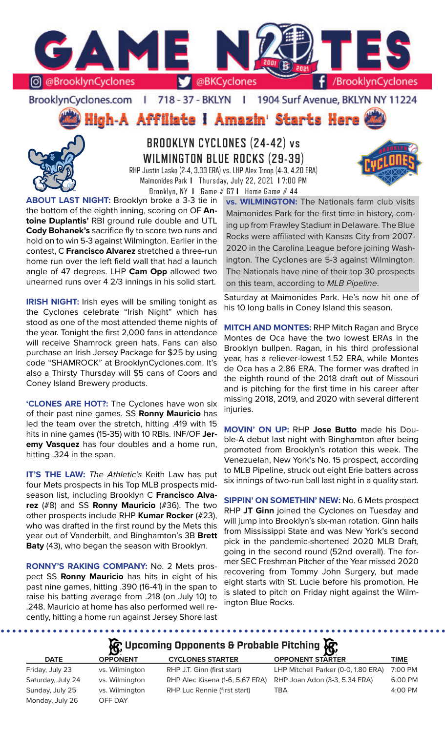

BrooklynCyclones.com | 718 - 37 - BKLYN | 1904 Surf Avenue, BKLYN NY 11224

High-A Affiliate I Amazin' Starts Here



**BROOKLYN CYCLONES (24-42) vs WILMINGTON BLUE ROCKS (29-39)** RHP Justin Lasko (2-4, 3.33 ERA) vs. LHP Alex Troop (4-3, 4.20 ERA) Maimonides Park **I** Thursday, July 22, 2021 **I** 7:00 PM



**ABOUT LAST NIGHT:** Brooklyn broke a 3-3 tie in the bottom of the eighth inning, scoring on OF **Antoine Duplantis'** RBI ground rule double and UTL **Cody Bohanek's** sacrifice fly to score two runs and hold on to win 5-3 against Wilmington. Earlier in the contest, C **Francisco Alvarez** stretched a three-run home run over the left field wall that had a launch angle of 47 degrees. LHP **Cam Opp** allowed two unearned runs over 4 2/3 innings in his solid start.

**IRISH NIGHT:** Irish eyes will be smiling tonight as the Cyclones celebrate "Irish Night" which has stood as one of the most attended theme nights of the year. Tonight the first 2,000 fans in attendance will receive Shamrock green hats. Fans can also purchase an Irish Jersey Package for \$25 by using code "SHAMROCK" at BrooklynCyclones.com. It's also a Thirsty Thursday will \$5 cans of Coors and Coney Island Brewery products.

**'CLONES ARE HOT?:** The Cyclones have won six of their past nine games. SS **Ronny Mauricio** has led the team over the stretch, hitting .419 with 15 hits in nine games (15-35) with 10 RBIs. INF/OF **Jeremy Vasquez** has four doubles and a home run, hitting .324 in the span.

**IT'S THE LAW:** *The Athletic's* Keith Law has put four Mets prospects in his Top MLB prospects midseason list, including Brooklyn C **Francisco Alvarez** (#8) and SS **Ronny Mauricio** (#36). The two other prospects include RHP **Kumar Rocker** (#23), who was drafted in the first round by the Mets this year out of Vanderbilt, and Binghamton's 3B **Brett Baty** (43), who began the season with Brooklyn.

**RONNY'S RAKING COMPANY:** No. 2 Mets prospect SS **Ronny Mauricio** has hits in eight of his past nine games, hitting .390 (16-41) in the span to raise his batting average from .218 (on July 10) to .248. Mauricio at home has also performed well recently, hitting a home run against Jersey Shore last

Brooklyn, NY **I** Game # 67 **I** Home Game # 44 **vs. WILMINGTON:** The Nationals farm club visits Maimonides Park for the first time in history, coming up from Frawley Stadium in Delaware. The Blue Rocks were affiliated with Kansas City from 2007- 2020 in the Carolina League before joining Washington. The Cyclones are 5-3 against Wilmington. The Nationals have nine of their top 30 prospects on this team, according to *MLB Pipeline*.

> Saturday at Maimonides Park. He's now hit one of his 10 long balls in Coney Island this season.

> **MITCH AND MONTES:** RHP Mitch Ragan and Bryce Montes de Oca have the two lowest ERAs in the Brooklyn bullpen. Ragan, in his third professional year, has a reliever-lowest 1.52 ERA, while Montes de Oca has a 2.86 ERA. The former was drafted in the eighth round of the 2018 draft out of Missouri and is pitching for the first time in his career after missing 2018, 2019, and 2020 with several different injuries.

> **MOVIN' ON UP:** RHP **Jose Butto** made his Double-A debut last night with Binghamton after being promoted from Brooklyn's rotation this week. The Venezuelan, New York's No. 15 prospect, according to MLB Pipeline, struck out eight Erie batters across six innings of two-run ball last night in a quality start.

> **SIPPIN' ON SOMETHIN' NEW:** No. 6 Mets prospect RHP **JT Ginn** joined the Cyclones on Tuesday and will jump into Brooklyn's six-man rotation. Ginn hails from Mississippi State and was New York's second pick in the pandemic-shortened 2020 MLB Draft, going in the second round (52nd overall). The former SEC Freshman Pitcher of the Year missed 2020 recovering from Tommy John Surgery, but made eight starts with St. Lucie before his promotion. He is slated to pitch on Friday night against the Wilmington Blue Rocks.

# **Upcoming Opponents & Probable Pitching**

|                   | $\sim$          |                                 |                                     |             |
|-------------------|-----------------|---------------------------------|-------------------------------------|-------------|
| <b>DATE</b>       | <b>OPPONENT</b> | <b>CYCLONES STARTER</b>         | <b>OPPONENT STARTER</b>             | <b>TIME</b> |
| Friday, July 23   | vs. Wilmington  | RHP J.T. Ginn (first start)     | LHP Mitchell Parker (0-0, 1.80 ERA) | 7:00 PM     |
| Saturday, July 24 | vs. Wilmington  | RHP Alec Kisena (1-6, 5.67 ERA) | RHP Joan Adon (3-3, 5.34 ERA)       | 6:00 PM     |
| Sunday, July 25   | vs. Wilmington  | RHP Luc Rennie (first start)    | TBA                                 | 4:00 PM     |
| Monday, July 26   | OFF DAY         |                                 |                                     |             |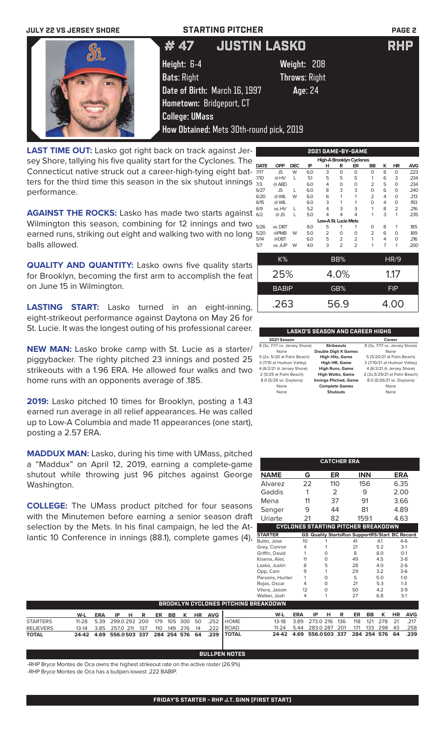### **JULY 22 VS JERSEY SHORE STARTING PITCHER PAGE 2**



# # 47 JUSTIN LASKO RHP

**Height:** 6-4 **Weight:** 208 **Bats**: Right **Throws**: Right **Date of Birth:** March 16, 1997 **Age**: 24 **Hometown:** Bridgeport, CT **College: UMass How Obtained:** Mets 30th-round pick, 2019

**LAST TIME OUT:** Lasko got right back on track against Jersey Shore, tallying his five quality start for the Cyclones. The Connecticut native struck out a career-high-tying eight batters for the third time this season in the six shutout innings performance.

**AGAINST THE ROCKS:** Lasko has made two starts against Wilmington this season, combining for 12 innings and two earned runs, striking out eight and walking two with no long balls allowed.

**QUALITY AND QUANTITY:** Lasko owns five quality starts for Brooklyn, becoming the first arm to accomplish the feat on June 15 in Wilmington.

**LASTING START:** Lasko turned in an eight-inning, eight-strikeout performance against Daytona on May 26 for St. Lucie. It was the longest outing of his professional career.

**NEW MAN:** Lasko broke camp with St. Lucie as a starter/ piggybacker. The righty pitched 23 innings and posted 25 strikeouts with a 1.96 ERA. He allowed four walks and two home runs with an opponents average of .185.

**2019:** Lasko pitched 10 times for Brooklyn, posting a 1.43 earned run average in all relief appearances. He was called up to Low-A Columbia and made 11 appearances (one start), posting a 2.57 ERA.

**MADDUX MAN:** Lasko, during his time with UMass, pitched a "Maddux" on April 12, 2019, earning a complete-game shutout while throwing just 96 pitches against George Washington.

**COLLEGE:** The UMass product pitched for four seasons with the Minutemen before earning a senior season draft selection by the Mets. In his final campaign, he led the Atlantic 10 Conference in innings (88.1), complete games (4),

|             |              |            |     |                      |                | <u> EUEI UAME-DI-UAME</u> |                |                |             |            |
|-------------|--------------|------------|-----|----------------------|----------------|---------------------------|----------------|----------------|-------------|------------|
|             |              |            |     |                      |                | High-A Brooklyn Cyclones  |                |                |             |            |
| <b>DATE</b> | <b>OPP</b>   | <b>DEC</b> | IP  | н                    | R              | ER                        | BB             | ĸ              | HR          | <b>AVG</b> |
| 7/17        | JS           | W          | 6.0 | 3                    | 0              | $\mathbf 0$               | 0              | 8              | $\mathbf 0$ | .223       |
| 7/10        | @HV          | L          | 5.1 | 5                    | 5              | 5                         | 1              | 6              | 3           | .234       |
| 7/3         | @ ABD        |            | 6.0 | 4                    | 0              | 0                         | 2              | 5              | $\Omega$    | .234       |
| 6/27        | <b>JS</b>    | L          | 6.0 | 8                    | 3              | 3                         | 0              | 6              | 0           | .240       |
| 6/20        | @ WIL        | W          | 6.0 | 6                    | 1              | 1                         | $\overline{2}$ | 4              | 0           | .213       |
| 6/15        | @ WIL        |            | 6.0 | 3                    | 1              | 1                         | 0              | 4              | 0           | .193       |
| 6/9         | vs. HV       | L          | 5.2 | 4                    | 3              | 3                         | 1              | 8              | 2           | .216       |
| 6/2         | @ JS         | L          | 5.0 | 4                    | 4              | 4                         | 1              | 3              | 1           | .235       |
|             |              |            |     | Low-A St. Lucie Mets |                |                           |                |                |             |            |
| 5/26        | vs. DBT      |            | 8.0 | 5                    | 1              | 1                         | 0              | 8              | 1           | .185       |
| 5/20        | @PMB         | W          | 5.0 | 2                    | O              | 0                         | $\overline{2}$ | 6              | $\Omega$    | .189       |
| 5/14        | @DBT         |            | 6.0 | 5                    | 2              | $\overline{2}$            | 1              | 4              | 0           | .216       |
| 5/7         | vs. JUP      | W          | 4.0 | 3                    | $\overline{2}$ | $\overline{2}$            | 1              | $\overline{7}$ | 1           | .200       |
|             | K%           |            |     |                      | BB%            | HR/9                      |                |                |             |            |
|             |              |            |     |                      |                |                           |                |                |             |            |
|             | 25%          |            |     |                      | 4.0%           |                           | 1.17           |                |             |            |
|             | <b>BABIP</b> |            |     |                      | GB%            | <b>FIP</b>                |                |                |             |            |
|             | .263         |            |     | 4.00                 |                |                           |                |                |             |            |
|             |              |            |     |                      | 56.9           |                           |                |                |             |            |

**2021 GAME-BY-GAME**

### **LASKO'S SEASON AND CAREER HIGHS**

|                              | Career                        |
|------------------------------|-------------------------------|
| <b>Strikeouts</b>            | 8 (3x, 7/17 vs. Jersey Shore) |
| <b>Double Digit K Games</b>  | None                          |
| <b>High Hits, Game</b>       | 5 (5/20/21 at Palm Beach)     |
| High HR, Game                | 3 (7/10/21 at Hudson Valley)  |
| <b>High Runs, Game</b>       | 4 (6/2/21 @ Jersey Shore)     |
| <b>High Walks, Game</b>      | 2 (3x,5/29/21 at Palm Beach)  |
| <b>Innings Pitched, Game</b> | 8.0 (5/26/21 vs. Daytona)     |
| <b>Complete Games</b>        | None                          |
| <b>Shutouts</b>              | None                          |
|                              |                               |

|                 |                   |                         | <b>CATCHER ERA</b>                                    |           |          |                     |            |
|-----------------|-------------------|-------------------------|-------------------------------------------------------|-----------|----------|---------------------|------------|
| <b>NAME</b>     | G                 |                         | ER                                                    | INN       |          | ERA                 |            |
| Alvarez         | 22                |                         | 110                                                   | 156       |          | 6.35                |            |
| Gaddis          | 1                 |                         | 2                                                     | 9         |          | 2.00                |            |
| Mena            | 11                |                         | 37                                                    | 91        |          | 3.66                |            |
| Senger          | 9                 |                         | 44                                                    | 81        |          | 4.89                |            |
| Uriarte         | 21                |                         | 82                                                    | 159.1     |          | 4.63                |            |
|                 |                   |                         | <b>CYCLONES STARTING PITCHER BREAKDOWN</b>            |           |          |                     |            |
| <b>STARTER</b>  |                   |                         | <b>GS Quality StartsRun SupportRS/Start BC Record</b> |           |          |                     |            |
| Butto, Jose     | 10                |                         | 41                                                    |           | 4.1      |                     | $4-6$      |
| Grey, Connor    | 4                 | 1                       | 21                                                    |           | 5.2      |                     | $3-1$      |
| Griffin, David  | 1                 | 0                       | 8                                                     |           | 8.0      |                     | $O-1$      |
| Kisena, Alec    | 11                | 0                       | 49                                                    |           | 4.5      |                     | $3-8$      |
| Lasko, Justin   | 8                 | 5                       | 28                                                    |           | 4.0      |                     | $2 - 6$    |
| Opp, Cam        | 9                 | 1                       | 29                                                    |           | 3.2      |                     | $3-6$      |
| Parsons, Hunter | 1                 | 0                       | 5                                                     |           | 5.0      |                     | $1 - 0$    |
| Rojas, Oscar    | 4                 | 0                       | 21                                                    |           | 5.3      |                     | $1 - 3$    |
| Vilera, Jaison  | 12                | 0                       | 50                                                    |           | 4.2      |                     | $3-9$      |
| Walker, Josh    | 4                 | 1                       | 27                                                    |           | 6.8      |                     | $3-1$      |
| REAKDOWN        |                   |                         |                                                       |           |          |                     |            |
| W-L<br>12.10    | <b>ERA</b><br>200 | IP<br>н<br>∩ רדר<br>24C | ER<br>R<br>12C<br>110                                 | BВ<br>121 | ĸ<br>070 | ΗR<br>$\mathcal{L}$ | AVG<br>217 |

|                  | ' BROOKLYN CYCLONES PITCHING BREAKDOWN . |  |  |  |  |  |  |  |                           |                                                             |                                              |                               |  |  |  |  |
|------------------|------------------------------------------|--|--|--|--|--|--|--|---------------------------|-------------------------------------------------------------|----------------------------------------------|-------------------------------|--|--|--|--|
|                  | W-L                                      |  |  |  |  |  |  |  | ERA IP H R ER BB K HR AVG |                                                             |                                              | W-L ERA IP H R ER BB K HR AVG |  |  |  |  |
| <b>STARTERS</b>  |                                          |  |  |  |  |  |  |  |                           | 11-28  5.39  299.0  292  200  179  105  300  50  .252  HOME | 13-18 3.89 273.0 216 136 118 121 278 21 .217 |                               |  |  |  |  |
| <b>RELIEVERS</b> |                                          |  |  |  |  |  |  |  |                           | 13-14  3.85  257.0  211  137  110  149  276  14  .222  ROAD | 11-24 5.44 283.0 287 201 171 133 298 43 .258 |                               |  |  |  |  |
| <b>TOTAL</b>     |                                          |  |  |  |  |  |  |  |                           | 24-42 4.69 556.0503 337 284 254 576 64 .239 TOTAL           | 24-42 4.69 556.0503 337 284 254 576 64 .239  |                               |  |  |  |  |

**BULLPEN NOTES**

-RHP Bryce Montes de Oca owns the highest strikeout rate on the active roster (26.9%) -RHP Bryce Montes de Oca has a bullpen-lowest .222 BABIP.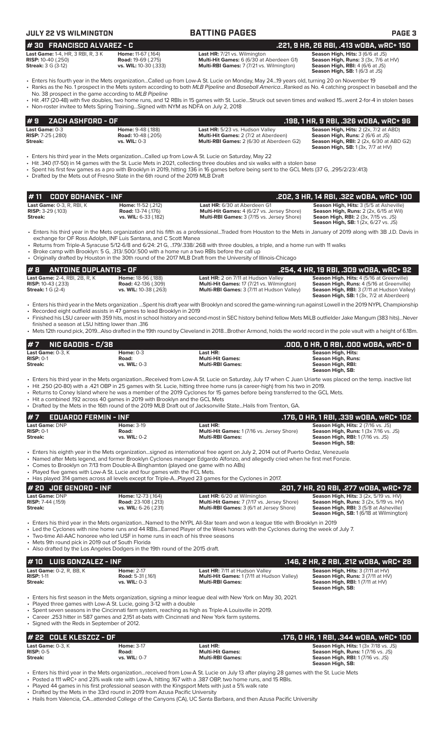| #30 FRANCISCO ALVAREZ - C                                                                   |                                                                                                                                                                       |                                                                                                                                                                                                                                                                                                                                                                                                                                                                                                                                                           | .221, 9 HR, 26 RBI, .413 wOBA, wRC+ 150                                                                                                                                           |
|---------------------------------------------------------------------------------------------|-----------------------------------------------------------------------------------------------------------------------------------------------------------------------|-----------------------------------------------------------------------------------------------------------------------------------------------------------------------------------------------------------------------------------------------------------------------------------------------------------------------------------------------------------------------------------------------------------------------------------------------------------------------------------------------------------------------------------------------------------|-----------------------------------------------------------------------------------------------------------------------------------------------------------------------------------|
| Last Game: 1-4, HR, 3 RBI, R, 3 K<br><b>RISP:</b> 10-40 (.250)<br><b>Streak: 3 G (3-12)</b> | Home: 11-67 (.164)<br><b>Road: 19-69 (.275)</b><br>vs. WIL: 10-30 (.333)                                                                                              | Last HR: 7/21 vs. Wilmington<br>Multi-Hit Games: 6 (6/30 at Aberdeen G1)<br>Multi-RBI Games: 7 (7/21 vs. Wilmington)                                                                                                                                                                                                                                                                                                                                                                                                                                      | Season High, Hits: 3 (6/6 at JS)<br>Season High, Runs: 3 (3x, 7/6 at HV)<br>Season High, RBI: 4 (6/6 at JS)<br>Season High, SB: 1 (6/3 at JS)                                     |
|                                                                                             | No. 38 prospect in the game according to MLB Pipeline                                                                                                                 | • Enters his fourth year in the Mets organizationCalled up from Low-A St. Lucie on Monday, May 2419 years old, turning 20 on November 19<br>• Ranks as the No. 1 prospect in the Mets system according to both MLB Pipeline and Baseball AmericaRanked as No. 4 catching prospect in baseball and the<br>• Hit .417 (20-48) with five doubles, two home runs, and 12 RBIs in 15 games with St. LucieStruck out seven times and walked 15went 2-for-4 in stolen bases                                                                                      |                                                                                                                                                                                   |
|                                                                                             | • Non-roster invitee to Mets Spring TrainingSigned with NYM as NDFA on July 2, 2018                                                                                   |                                                                                                                                                                                                                                                                                                                                                                                                                                                                                                                                                           |                                                                                                                                                                                   |
| ZACH ASHFORD - OF<br>#9<br>Last Game: 0-3                                                   | Home: 9-48 (.188)                                                                                                                                                     | Last HR: 5/23 vs. Hudson Valley                                                                                                                                                                                                                                                                                                                                                                                                                                                                                                                           | .198, 1 HR, 9 RBI, .326 WOBA, WRC+ 96<br>Season High, Hits: 2 (2x, 7/2 at ABD)                                                                                                    |
| <b>RISP:</b> 7-25 (.280)<br>Streak:                                                         | <b>Road: 10-48 (.205)</b><br>vs. WIL: 0-3                                                                                                                             | Multi-Hit Games: 2 (7/2 at Aberdeen)<br>Multi-RBI Games: 2 (6/30 at Aberdeen G2)                                                                                                                                                                                                                                                                                                                                                                                                                                                                          | Season High, Runs: 2 (6/6 at JS)<br><b>Season High, RBI:</b> 2 (2x, 6/30 at ABD G2)<br><b>Season High, SB:</b> 1 (3x, 7/7 at HV)                                                  |
|                                                                                             | • Drafted by the Mets out of Fresno State in the 6th round of the 2019 MLB Draft                                                                                      | Enters his third year in the Mets organizationCalled up from Low-A St. Lucie on Saturday, May 22 •<br>• Hit .340 (17-50) in 14 games with the St. Lucie Mets in 2021, collecting three doubles and six walks with a stolen base<br>• Spent his first few games as a pro with Brooklyn in 2019, hitting .136 in 16 games before being sent to the GCL Mets (37 G, .295/2/23/.413)                                                                                                                                                                          |                                                                                                                                                                                   |
| <b>CODY BOHANEK - INF</b><br>#11                                                            |                                                                                                                                                                       |                                                                                                                                                                                                                                                                                                                                                                                                                                                                                                                                                           | .202, 3 HR, 14 RBI, .322 WOBA, WRC+ 100                                                                                                                                           |
| Last Game: 0-3, R, RBI, K<br><b>RISP: 3-29 (.103)</b><br><b>Streak:</b>                     | Home: 11-52 (.212)<br><b>Road: 13-74 (.176)</b><br>vs. WIL: 6-33 (.182)                                                                                               | Last HR: 6/30 at Aberdeen G1<br>Multi-Hit Games: 4 (6/27 vs. Jersey Shore)<br>Multi-RBI Games: 3 (7/15 vs. Jersey Shore)                                                                                                                                                                                                                                                                                                                                                                                                                                  | Season High, Hits: 3 (5/5 at Asheville)<br>Season High, Runs: 2 (2x, 6/15 at Wil)<br><b>Seaon High, RBI:</b> 2 (3x, 7/15 vs. JS)<br><b>Season High, SB:</b> 1 (2x, 6/27 vs. JS)   |
|                                                                                             | exchange for OF Ross Adolph, INF Luis Santana, and C Scott Manea                                                                                                      | • Enters his third year in the Mets organization and his fifth as a professionalTraded from Houston to the Mets in January of 2019 along with 3B J.D. Davis in<br>• Returns from Triple-A Syracuse 5/12-6/8 and 6/24: 21 G, 179/.338/.268 with three doubles, a triple, and a home run with 11 walks                                                                                                                                                                                                                                                      |                                                                                                                                                                                   |
|                                                                                             | • Broke camp with Brooklyn: 5 G, .313/.500/.500 with a home run a two RBIs before the call up                                                                         | • Originally drafted by Houston in the 30th round of the 2017 MLB Draft from the University of Illinois-Chicago                                                                                                                                                                                                                                                                                                                                                                                                                                           |                                                                                                                                                                                   |
| #8<br><b>ANTOINE DUPLANTIS - OF</b>                                                         |                                                                                                                                                                       |                                                                                                                                                                                                                                                                                                                                                                                                                                                                                                                                                           | .254, 4 HR, 19 RBI, .309 wOBA, wRC+ 92                                                                                                                                            |
| Last Game: 2-4, RBI, 2B, R, K<br><b>RISP:</b> 10-43 (.233)<br><b>Streak:</b> 1 G (2-4)      | Home: 18-96 (.188)<br><b>Road:</b> 42-136 (.309)<br>vs. WIL: 10-38 (.263)                                                                                             | Last HR: 2 on 7/11 at Hudson Valley<br>Multi-Hit Games: 17 (7/21 vs. Wilmington)<br>Multi-RBI Games: 3 (7/11 at Hudson Valley)                                                                                                                                                                                                                                                                                                                                                                                                                            | Season High, Hits: 4 (5/16 at Greenville)<br>Season High, Runs: 4 (5/16 at Greenville)<br>Season High, RBI: 3 (7/11 at Hudson Valley)<br>Season High, SB: 1 (3x, 7/2 at Aberdeen) |
|                                                                                             | • Recorded eight outfield assists in 47 games to lead Brooklyn in 2019                                                                                                | • Enters his third year in the Mets organization Spent his draft year with Brooklyn and scored the game-winning run against Lowell in the 2019 NYPL Championship<br>• Finished his LSU career with 359 hits, most in school history and second-most in SEC history behind fellow Mets MiLB outfielder Jake Mangum (383 hits)Never                                                                                                                                                                                                                         |                                                                                                                                                                                   |
| finished a season at LSU hitting lower than .316                                            |                                                                                                                                                                       | • Mets 12th round pick, 2019Also drafted in the 19th round by Cleveland in 2018Brother Armond, holds the world record in the pole vault with a height of 6.18m.                                                                                                                                                                                                                                                                                                                                                                                           |                                                                                                                                                                                   |
| <b>NIC GADDIS - C/3B</b><br>#7                                                              |                                                                                                                                                                       |                                                                                                                                                                                                                                                                                                                                                                                                                                                                                                                                                           | .000, 0 HR, 0 RBI, .000 w0BA, wRC+ 0                                                                                                                                              |
| Last Game: 0-3, K<br>$RISP: 0-1$                                                            | <b>Home: 0-3</b><br>Road:                                                                                                                                             | Last HR:<br><b>Multi-Hit Games:</b>                                                                                                                                                                                                                                                                                                                                                                                                                                                                                                                       | <b>Season High, Hits:</b><br><b>Season High, Runs:</b>                                                                                                                            |
| <b>Streak:</b>                                                                              | <b>vs. WIL: 0-3</b>                                                                                                                                                   | <b>Multi-RBI Games:</b>                                                                                                                                                                                                                                                                                                                                                                                                                                                                                                                                   | Season High, RBI:<br>Season High, SB:                                                                                                                                             |
| #7<br><b>EDUARDO FERMIN - INF</b><br>Last Game: DNP                                         | • Hit a combined .192 across 40 games in 2019 with Brooklyn and the GCL Mets<br><b>Home: 3-19</b>                                                                     | • Enters his third year in the Mets organizationReceived from Low-A St. Lucie on Saturday, July 17 when C Juan Uriarte was placed on the temp. inactive list<br>. Hit .250 (20-80) with a .421 OBP in 25 games with St. Lucie, hitting three home runs (a career-high) from his two in 2019.<br>• Returns to Coney Island where he was a member of the 2019 Cyclones for 15 games before being transferred to the GCL Mets.<br>• Drafted by the Mets in the 16th round of the 2019 MLB Draft out of Jacksonville StateHails from Trenton, GA.<br>Last HR: | .176, 0 HR, 1 RBI, .339 wOBA, wRC+ 102<br>Season High, Hits: 2 (7/16 vs. JS)                                                                                                      |
| $RISP: 0-1$<br>Streak:                                                                      | Road:<br>vs. WIL: 0-2                                                                                                                                                 | Multi-Hit Games: 1 (7/16 vs. Jersey Shore)<br><b>Multi-RBI Games:</b>                                                                                                                                                                                                                                                                                                                                                                                                                                                                                     | Season High, Runs: 1 (3x 7/16 vs. JS)<br><b>Season High, RBI:</b> 1 (7/16 vs. JS)<br>Season High, SB:                                                                             |
|                                                                                             | • Comes to Brooklyn on 7/13 from Double-A Binghamton (played one game with no ABs)<br>• Played five games with Low-A St. Lucie and four games with the FCL Mets.      | • Enters his eighth year in the Mets organizationsigned as international free agent on July 2, 2014 out of Puerto Ordaz, Venezuela<br>• Named after Mets legend, and former Brooklyn Cyclones manager Edgardo Alfonzo, and allegedly cried when he first met Fonzie.                                                                                                                                                                                                                                                                                      |                                                                                                                                                                                   |
| # 20 JOE GENORD - INF                                                                       |                                                                                                                                                                       | • Has played 314 games across all levels except for Triple-APlayed 23 games for the Cyclones in 2017.                                                                                                                                                                                                                                                                                                                                                                                                                                                     |                                                                                                                                                                                   |
| <b>Last Game: DNP</b>                                                                       | Home: 12-73 (.164)                                                                                                                                                    | <b>Last HR:</b> 6/20 at Wilmington                                                                                                                                                                                                                                                                                                                                                                                                                                                                                                                        | .201, 7 HR, 20 RBI, .277 w0BA, wRC+ 72<br>Season High, Hits: 3 (2x, 5/19 vs. HV)                                                                                                  |
| <b>RISP:</b> 7-44 (.159)<br>Streak:                                                         | <b>Road:</b> 23-108 (.213)<br>vs. WIL: 6-26 (.231)                                                                                                                    | Multi-Hit Games: 7 (7/17 vs. Jersey Shore)<br><b>Multi-RBI Games:</b> 3 (6/1 at Jersey Shore)                                                                                                                                                                                                                                                                                                                                                                                                                                                             | Season High, Runs: 3 (2x, 5/19 vs. HV)<br>Season High, RBI: 3 (5/8 at Asheville)<br><b>Season High, SB: 1 (6/18 at Wilmington)</b>                                                |
| • Mets 9th round pick in 2019 out of South Florida                                          | • Two-time All-AAC honoree who led USF in home runs in each of his three seasons<br>• Also drafted by the Los Angeles Dodgers in the 19th round of the 2015 draft.    | • Enters his third year in the Mets organizationNamed to the NYPL All-Star team and won a league title with Brooklyn in 2019<br>• Led the Cyclones with nine home runs and 44 RBIsEarned Player of the Week honors with the Cyclones during the week of July 7.                                                                                                                                                                                                                                                                                           |                                                                                                                                                                                   |
| <b>LUIS GONZALEZ - INF</b><br># 10                                                          |                                                                                                                                                                       |                                                                                                                                                                                                                                                                                                                                                                                                                                                                                                                                                           | .146, 2 HR, 2 RBI, .212 WOBA, WRC+ 28                                                                                                                                             |
| Last Game: 0-2, R, BB, K<br><b>RISP: 1-11</b><br>Streak:                                    | <b>Home: 2-17</b><br><b>Road: 5-31 (.161)</b><br>vs. WIL: 0-3                                                                                                         | Last HR: 7/11 at Hudson Valley<br>Multi-Hit Games: 1 (7/11 at Hudson Valley)<br><b>Multi-RBI Games:</b>                                                                                                                                                                                                                                                                                                                                                                                                                                                   | Season High, Hits: 3 (7/11 at HV)<br>Season High, Runs: 3 (7/11 at HV)<br>Season High, RBI: 1 (7/11 at HV)                                                                        |
| • Signed with the Reds in September of 2012.                                                | • Played three games with Low-A St. Lucie, going 3-12 with a double<br>• Career .253 hitter in 587 games and 2.151 at-bats with Cincinnati and New York farm systems. | • Enters his first season in the Mets organization, signing a minor league deal with New York on May 30, 2021.<br>• Spent seven seasons in the Cincinnati farm system, reaching as high as Triple-A Louisville in 2019.                                                                                                                                                                                                                                                                                                                                   | Season High, SB:                                                                                                                                                                  |
| # 22 COLE KLESZCZ - OF                                                                      |                                                                                                                                                                       |                                                                                                                                                                                                                                                                                                                                                                                                                                                                                                                                                           | .176, 0 HR, 1 RBI, .344 WOBA, WRC+ 100                                                                                                                                            |
| Last Game: 0-3, K<br><b>RISP: 0-5</b><br>Streak:                                            | <b>Home: 3-17</b><br>Road:<br>vs. WIL: 0-7                                                                                                                            | Last HR:<br><b>Multi-Hit Games:</b><br><b>Multi-RBI Games:</b>                                                                                                                                                                                                                                                                                                                                                                                                                                                                                            | Season High. Hits: 1 (3x 7/18 vs. JS)<br>Season High, Runs: 1 (7/16 vs. JS)<br>Season High, RBI: 1 (7/16 vs. JS)<br>Season High, SB:                                              |
|                                                                                             |                                                                                                                                                                       | • Enters his third year in the Mets organizationreceived from Low-A St. Lucie on July 13 after playing 28 games with the St. Lucie Mets                                                                                                                                                                                                                                                                                                                                                                                                                   |                                                                                                                                                                                   |

**JULY 22 VS WILMINGTON BATTING PAGES PAGE 3**

• Posted a 111 wRC+ and 23% walk rate with Low-A, hitting .167 with a .387 OBP, two home runs, and 15 RBIs. • Played 44 games in his first professional season with the Kingsport Mets with just a 5% walk rate

• Drafted by the Mets in the 33rd round in 2019 from Azusa Pacific University

• Hails from Valencia, CA...attended College of the Canyons (CA), UC Santa Barbara, and then Azusa Pacific University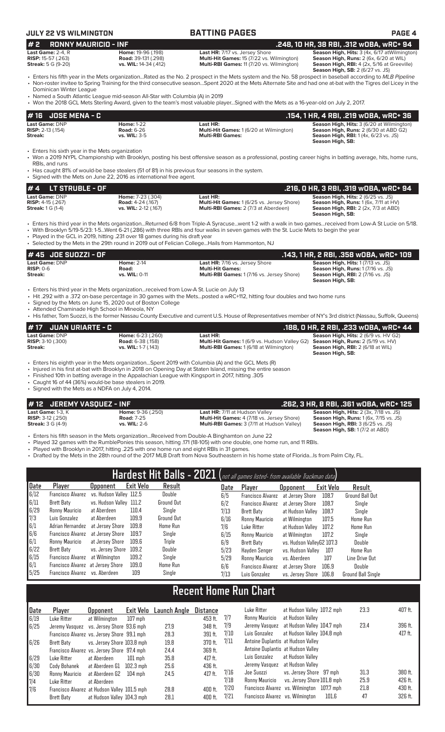# **JULY 22 VS WILMINGTON BATTING PAGES PAGE 4**

| <b>RONNY MAURICIO - INF</b><br>#2                                           |                                                                                                                                                                                                            |                                                                                                                                                                                                                                                                                                                                                                                                                                                                             | .248, 10 HR, 38 RBI, .312 WOBA, WRC+ 94                                                                                                                                           |
|-----------------------------------------------------------------------------|------------------------------------------------------------------------------------------------------------------------------------------------------------------------------------------------------------|-----------------------------------------------------------------------------------------------------------------------------------------------------------------------------------------------------------------------------------------------------------------------------------------------------------------------------------------------------------------------------------------------------------------------------------------------------------------------------|-----------------------------------------------------------------------------------------------------------------------------------------------------------------------------------|
| Last Game: 2-4, R<br><b>RISP: 15-57 (.263)</b><br><b>Streak:</b> 5 G (9-20) | Home: 19-96 (.198)<br><b>Road:</b> 39-131 (.298)<br>vs. WIL: 14-34 (.412)                                                                                                                                  | Last HR: 7/17 vs. Jersey Shore<br>Multi-Hit Games: 15 (7/22 vs. Wilmington)<br>Multi-RBI Games: 11 (7/20 vs. Wilmington)                                                                                                                                                                                                                                                                                                                                                    | Season High, Hits: 3 (4x, 6/17 at Wilmington)<br>Season High, Runs: 2 (6x, 6/20 at WIL)<br>Season High, RBI: 4 (2x, 5/16 at Greeville)<br><b>Season High, SB:</b> 2 (6/27 vs. JS) |
| Dominican Winter League                                                     | • Named a South Atlantic League mid-season All-Star with Columbia (A) in 2019                                                                                                                              | • Enters his fifth year in the Mets organizationRated as the No. 2 prospect in the Mets system and the No. 58 prospect in baseball according to MLB Pipeline<br>• Non-roster invitee to Spring Training for the third consecutive seasonSpent 2020 at the Mets Alternate Site and had one at-bat with the Tigres del Licey in the<br>• Won the 2018 GCL Mets Sterling Award, given to the team's most valuable playerSigned with the Mets as a 16-year-old on July 2, 2017. |                                                                                                                                                                                   |
| <b>JOSE MENA - C</b><br># 16                                                |                                                                                                                                                                                                            |                                                                                                                                                                                                                                                                                                                                                                                                                                                                             | .154, 1 HR, 4 RBI, .219 wOBA, wRC+ 36                                                                                                                                             |
| Last Game: DNP<br><b>RISP:</b> 2-13 (.154)<br>Streak:                       | <b>Home: 1-22</b><br><b>Road: 6-26</b><br>vs. WIL: 3-5                                                                                                                                                     | Last HR:<br>Multi-Hit Games: 1 (6/20 at Wilmington)<br><b>Multi-RBI Games:</b>                                                                                                                                                                                                                                                                                                                                                                                              | Season High, Hits: 3 (6/20 at Wilmington)<br>Season High, Runs: 2 (6/30 at ABD G2)<br><b>Season High, RBI:</b> 1 (4x, 6/23 vs. JS)<br>Season High, SB:                            |
| • Enters his sixth year in the Mets organization<br>RBIs, and runs          | • Has caught 81% of would-be base stealers (51 of 81) in his previous four seasons in the system.<br>• Signed with the Mets on June 22, 2016 as international free agent.                                  | • Won a 2019 NYPL Championship with Brooklyn, posting his best offensive season as a professional, posting career highs in batting average, hits, home runs,                                                                                                                                                                                                                                                                                                                |                                                                                                                                                                                   |
| <b>LT STRUBLE - OF</b><br>#4                                                |                                                                                                                                                                                                            |                                                                                                                                                                                                                                                                                                                                                                                                                                                                             | .216, 0 HR, 3 RBI, .319 wOBA, wRC+ 94                                                                                                                                             |
| Last Game: DNP<br>RISP: 4-15 (.267)<br><b>Streak:</b> 1 G (1-4)             | Home: 7-23 (.304)<br><b>Road: 4-24 (.167)</b><br>vs. WIL: 2-12 (.167)                                                                                                                                      | Last HR:<br>Multi-Hit Games: 1 (6/25 vs. Jersey Shore)<br>Multi-RBI Games: 2 (7/3 at Aberdeen)                                                                                                                                                                                                                                                                                                                                                                              | Season High, Hits: 2 (6/25 vs. JS)<br>Season High, Runs: 1 (6x, 7/11 at HV)<br><b>Season High, RBI: 2 (2x, 7/3 at ABD)</b><br>Season High, SB:                                    |
|                                                                             | • Played in the GCL in 2019, hitting .231 over 18 games during his draft year                                                                                                                              | • Enters his third year in the Mets organizationReturned 6/8 from Triple-A Syracusewent 1-2 with a walk in two gamesreceived from Low-A St Lucie on 5/18.<br>• With Brooklyn 5/19-5/23: 1-5Went 6-21 (.286) with three RBIs and four walks in seven games with the St. Lucie Mets to begin the year<br>• Selected by the Mets in the 29th round in 2019 out of Felician CollegeHails from Hammonton, NJ                                                                     |                                                                                                                                                                                   |
| # 45 JOE SUOZZI - OF                                                        |                                                                                                                                                                                                            |                                                                                                                                                                                                                                                                                                                                                                                                                                                                             | .143, 1 HR, 2 RBI, .358 wOBA, wRC+ 109                                                                                                                                            |
| Last Game: DNP<br><b>RISP: 0-6</b><br>Streak:                               | <b>Home: 2-14</b><br>Road:<br>vs. WIL: 0-11                                                                                                                                                                | Last HR: 7/16 vs. Jersey Shore<br><b>Multi-Hit Games:</b><br>Multi-RBI Games: 1 (7/16 vs. Jersey Shore)                                                                                                                                                                                                                                                                                                                                                                     | Season High, Hits: 1 (7/13 vs. JS)<br>Season High, Runs: 1 (7/16 vs. JS)<br><b>Season High, RBI: 2 (7/16 vs. JS)</b><br>Season High, SB:                                          |
|                                                                             | • Enters his third year in the Mets organizationreceived from Low-A St. Lucie on July 13<br>• Signed by the Mets on June 15, 2020 out of Boston College<br>• Attended Chaminade High School in Mineola, NY | • Hit .292 with a .372 on-base percentage in 30 games with the Metsposted a wRC+112, hitting four doubles and two home runs<br>• His father, Tom Suozzi, is the former Nassau County Executive and current U.S. House of Representatives member of NY's 3rd district (Nassau, Suffolk, Queens)                                                                                                                                                                              |                                                                                                                                                                                   |
| <b>JUAN URIARTE - C</b><br>#17                                              |                                                                                                                                                                                                            |                                                                                                                                                                                                                                                                                                                                                                                                                                                                             | .188, 0 HR, 2 RBI, .233 wOBA, wRC+ 44                                                                                                                                             |
| Last Game: DNP<br><b>RISP:</b> 3-10 (.300)<br>Streak:                       | Home: 6-23 (.260)<br><b>Road: 6-38 (.158)</b><br>vs. WIL: 1-7 (.143)                                                                                                                                       | Last HR:<br><b>Multi-Hit Games:</b> 1 (6/9 vs. Hudson Valley G2)<br>Multi-RBI Games: 1 (6/18 at Wilmington)                                                                                                                                                                                                                                                                                                                                                                 | Season High, Hits: 2 (6/9 vs. HV G2)<br>Season High, Runs: 2 (5/19 vs. HV)<br>Season High, RBI: 2 (6/18 at WIL)<br>Season High, SB:                                               |
| • Signed with the Mets as a NDFA on July 4, 2014.                           | . Finished 10th in batting average in the Appalachian League with Kingsport in 2017, hitting .305<br>• Caught 16 of 44 (36%) would-be base stealers in 2019.                                               | • Enters his eighth year in the Mets organizationSpent 2019 with Columbia (A) and the GCL Mets (R)<br>• Injured in his first at-bat with Brooklyn in 2018 on Opening Day at Staten Island, missing the entire season                                                                                                                                                                                                                                                        |                                                                                                                                                                                   |
| #12<br><b>JEREMY VASQUEZ - INF</b>                                          |                                                                                                                                                                                                            |                                                                                                                                                                                                                                                                                                                                                                                                                                                                             | .262, 3 HR, 8 RBI, .361 wOBA, wRC+ 125                                                                                                                                            |

**Streak:** 3 G (4-9) **vs. WIL:** 2-6 **Multi-RBI Games:** 3 (7/11 at Hudson Valley) **Season High, RBI:** 3 (6/25 vs. JS) **Season High, SB:** 1 (7/2 at ABD)

• Enters his fifth season in the Mets organization...Received from Double-A Binghamton on June 22

• Played 32 games with the RumblePonies this season, hitting .171 (18-105) with one double, one home run, and 11 RBIs.

• Played with Brooklyn in 2017, hitting .225 with one home run and eight RBIs in 31 games.

• Drafted by the Mets in the 28th round of the 2017 MLB Draft from Nova Southeastern in his home state of Florida...Is from Palm City, FL.

**Last Game:** 1-3, K **Home:** 9-36 (.250) **Last HR:** 7/11 at Hudson Valley **Season High, Hits:** 2 (3x, 7/18 vs. JS) **RISP:** 3-12 (.250) **Road:** 7-25 **Multi-Hit Games:** 4 (7/18 vs. Jersey Shore) **Season High, Runs:** 1 (6x, 7/15 vs. JS)

|                   |                                   |                         |                  |                   |      | Hardest Hit Balls - 2021 (not all games listed- from available Trackman data) |                           |           |                           |
|-------------------|-----------------------------------|-------------------------|------------------|-------------------|------|-------------------------------------------------------------------------------|---------------------------|-----------|---------------------------|
| Date              | Player                            | <b>Upponent</b>         | <b>Exit Velo</b> | Result            | Date | Player                                                                        | <b>Opponent</b>           | Exit Velo | Result                    |
| 6/12              | Francisco Alvarez                 | vs. Hudson Valley 112.5 |                  | Double            | 6/5  | <b>Francisco Alvarez</b>                                                      | at Jersev Shore           | 108.7     | <b>Ground Ball Out</b>    |
| 6/11              | Brett Baty                        | vs. Hudson Valley 111.2 |                  | <b>Ground Out</b> | 6/2  | <b>Francisco Alvarez</b>                                                      | at Jersev Shore           | 108.7     | Single                    |
| 6/29              | Ronny Mauricio                    | at Aberdeen             | 110.4            | Single            | 7/13 | Brett Baty                                                                    | at Hudson Valley          | 108.7     | Single                    |
|                   | Luis Gonzalez                     | at Aberdeen             | 109.9            | Ground Out        | 6/16 | Ronny Mauricio                                                                | at Wilmington             | 107.5     | Home Run                  |
| $\frac{7}{3}$ 6/1 | Adrian Hernandez                  | at Jersey Shore         | 109.8            | Home Run          | 7/6  | Luke Ritter                                                                   | at Hudson Valley          | 107.2     | Home Run                  |
| 6/6               | Francisco Alvarez                 | at Jersev Shore         | 109.7            | Single            | 6/15 | Ronny Mauricio                                                                | at Wilmington             | 107.2     | Single                    |
| 6/1               | Ronny Mauricio                    | at Jersev Shore         | 109.6            | <b>Triple</b>     | 6/9  | Brett Baty                                                                    | vs. Hudson ValleyG2 107.3 |           | Double                    |
| 6/22              | Brett Baty                        | vs. Jersey Shore        | 109.2            | Double            | 5/23 | Havden Senger                                                                 | vs. Hudson Vallev         | 107       | <b>Home Run</b>           |
| 6/15              | Francisco Alvarez                 | at Wilmington           | 109.2            | Single            | 5/29 | Ronny Mauricio                                                                | vs. Aberdeen              | 107       | Line Drive Out            |
| 6/1               | Francisco Alvarez at Jersey Shore |                         | 109.0            | Home Run          | 6/6  | <b>Francisco Alvarez</b>                                                      | at Jersev Shore           | 106.9     | Double                    |
| 5/25              | Francisco Alvarez vs. Aberdeen    |                         | 109              | Single            | 7/13 | Luis Gonzalez                                                                 | vs. Jersev Shore          | 106.8     | <b>Ground Ball Single</b> |

# **Recent Home Run Chart**

| Date         | Player                                                     | <b>Opponent</b>               | Exit Velo   | Launch Angle | Distance           |              | Luke Ritter                      | at Hudson Valley 107.2 mph                                       |       | 23.3         | 407 ft.            |
|--------------|------------------------------------------------------------|-------------------------------|-------------|--------------|--------------------|--------------|----------------------------------|------------------------------------------------------------------|-------|--------------|--------------------|
| 6/19<br>6/25 | Luke Ritter<br>Jeremy Vasquez vs. Jersey Shore 93.6 mph    | at Wilmington                 | $107$ mph   | 27.9         | 453 ft.<br>348 ft. | 7/7<br>7/9   | Ronny Mauricio<br>Jeremy Vasquez | at Hudson Valley<br>at Hudson Valley 104.7 mph                   |       | 23.4         | 396 ft.            |
| 6/26         | Francisco Alvarez vs. Jersey Shore 99.1 mph<br>Brett Baty  | vs. Jersev Shore 103.8 mph    |             | 28.3<br>19.8 | 391 ft.<br>370 ft. | 7/10<br>7/11 | Luis Gonzalez                    | at Hudson Valley 104.8 mph<br>Antoine Duplantis at Hudson Valley |       |              | 417 ft.            |
|              | Francisco Alvarez vs. Jersey Shore 97.4 mph                |                               |             | 24.4         | 369 ft.            |              |                                  | Antoine Duplantis at Hudson Valley                               |       |              |                    |
| 6/29         | Luke Ritter                                                | at Aberdeen                   | $101$ mph   | 35.8         | $417$ ft.          |              | Luis Gonzalez                    | at Hudson Valley                                                 |       |              |                    |
| 6/30         | Cody Bohanek                                               | at Aberdeen G1                | $102.3$ mph | 25.6         | 436 ft.            |              | Jeremy Vasquez                   | at Hudson Vallev                                                 |       |              |                    |
| 6/30<br>7/4  | Ronny Mauricio<br>Luke Ritter                              | at Aberdeen G2<br>at Aberdeen | 104 mph     | 24.5         | $417$ ft.          | 7/16<br>7/18 | Joe Suozzi<br>Ronny Mauricio     | vs. Jersey Shore 97 mph<br>vs. Jersey Shore 101.8 mph            |       | 31.3<br>25.9 | 380 ft.<br>426 ft. |
| 7/6          | Francisco Alvarez at Hudson Valley 101.5 mph<br>Brett Baty | at Hudson Valley 104.3 mph    |             | 28.8<br>28.1 | 400 ft.<br>400 ft. | 7/20<br>7/21 | Francisco Alvarez vs. Wilmington | Francisco Alvarez vs. Wilmington 107.7 mph                       | 101.6 | 21.8<br>47   | 430 ft.<br>326 ft. |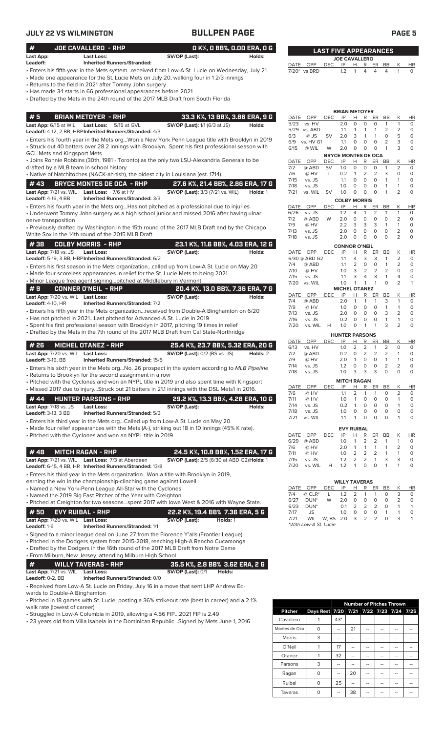| JULY 22 VS WILMINGTON                                 |                                                                                                                                                                                                                                                                                                                                                                                                         | <b>BULLPEN PAGE</b>                                                       |                                          | PAGE <sub>5</sub>                             |                  |                                          |                                                     |                              |                                |                              |                        |
|-------------------------------------------------------|---------------------------------------------------------------------------------------------------------------------------------------------------------------------------------------------------------------------------------------------------------------------------------------------------------------------------------------------------------------------------------------------------------|---------------------------------------------------------------------------|------------------------------------------|-----------------------------------------------|------------------|------------------------------------------|-----------------------------------------------------|------------------------------|--------------------------------|------------------------------|------------------------|
| #                                                     | <b>JOE CAVALLERO - RHP</b>                                                                                                                                                                                                                                                                                                                                                                              |                                                                           | O K%, O BB%, O.OO ERA, O G               | <b>LAST FIVE APPEARANCES</b>                  |                  |                                          |                                                     |                              |                                |                              |                        |
| Last App:<br>Leadoff:                                 | Last Loss:<br><b>Inherited Runners/Stranded:</b>                                                                                                                                                                                                                                                                                                                                                        | SV/OP (Last):                                                             | Holds:                                   |                                               |                  | <b>JOE CAVALLERO</b>                     |                                                     |                              |                                |                              |                        |
|                                                       | Enters his fifth year in the Mets system…received from Low-A St. Lucie on Wednesday, July 21 -<br>• Made one appearance for the St. Lucie Mets on July 20, walking four in 12/3 innings<br>Returns to the field in 2021 after Tommy John surgery<br>• Has made 34 starts in 66 professional appearances before 2021<br>• Drafted by the Mets in the 24th round of the 2017 MLB Draft from South Florida |                                                                           |                                          | DATE OPP<br>7/20* vs BRD                      | <b>DEC</b>       | IP<br>1.2                                | R<br>Н<br>$\mathbf{1}$<br>4                         | ER<br>$\overline{4}$         | <b>BB</b><br>4                 | $\mathbf{1}$                 | <b>HR</b><br>0         |
| #5<br>Last App: 6/15 at WIL                           | <b>BRIAN METOYER - RHP</b><br><b>Last Loss:</b><br>5/15 at GVL                                                                                                                                                                                                                                                                                                                                          | <b>SV/OP (Last):</b> 1/1 (6/3 at JS)                                      | 33.3 K%, 13 BB%, 3.86 ERA, 9 G<br>Holds: | DATE<br>OPP<br>5/23<br>vs. HV                 | <b>DEC</b>       | <b>BRIAN METOYER</b><br>IP<br>2.0        | Н<br>R<br>$\circ$<br>O                              | ER<br>$\circ$                | BB<br>$\mathbf{1}$             | К<br>$\mathbf{1}$            | HR<br>$\circ$          |
|                                                       | Leadoff: 4-12, 2 BB, HBP Inherited Runners/Stranded: 4/3                                                                                                                                                                                                                                                                                                                                                |                                                                           |                                          | 5/29 vs. ABD<br>6/3<br>$@$ JS                 | <b>SV</b>        | 1.1<br>2.0                               | 1<br>1<br>3<br>$\mathbf{1}$                         | $\mathbf{1}$<br>$\mathbf{1}$ | 2<br>$\circ$                   | 2<br>5                       | $\circ$<br>$\circ$     |
| <b>GCL Mets and Kingsport Mets</b>                    | Enters his fourth year in the Mets orgWon a New York Penn League title with Brooklyn in 2019 £<br>· Struck out 40 batters over 28.2 innings with BrooklynSpent his first professional season with                                                                                                                                                                                                       |                                                                           |                                          | 6/9<br>vs. HV G1<br>6/15<br>@ WIL             | W                | 1.1<br>2.0<br><b>BRYCE MONTES DE OCA</b> | O<br>O<br>$\circ$<br>$\circ$                        | $\mathbf 0$<br>$\circ$       | $\overline{2}$<br>$\mathbf{1}$ | 3<br>3                       | $\circ$<br>$\circ$     |
|                                                       | • Joins Ronnie Robbins (30th, 1981 - Toronto) as the only two LSU-Alexandria Generals to be<br>drafted by a MLB team in school history                                                                                                                                                                                                                                                                  |                                                                           |                                          | DATE<br>OPP<br>7/2<br>@ ABD                   | DEC<br><b>SV</b> | IP<br>1.0                                | Н<br>R<br>$\mathbf 0$<br>$\circ$                    | ER<br>$\circ$                | BB<br>$\mathbf{1}$             | Κ<br>$\overline{2}$          | <b>HR</b><br>$\circ$   |
|                                                       | • Native of Natchitoches (NACK-ah-tish), the oldest city in Louisiana (est. 1714).                                                                                                                                                                                                                                                                                                                      |                                                                           |                                          | 7/6<br>@ HV<br>7/15<br>vs. JS                 | L                | 0.2<br>1.1                               | 2<br>$\mathbf{1}$<br>$\circ$<br>0                   | $\overline{2}$<br>$\circ$    | 3<br>$\mathbf{1}$              | 0<br>1                       | $\circ$<br>$\circ$     |
| #43                                                   | <b>BRYCE MONTES DE OCA - RHP</b>                                                                                                                                                                                                                                                                                                                                                                        | 27.6 K%, 21.4 BB%, 2.86 ERA, 17 G                                         |                                          | 7/18<br>vs. JS                                |                  | 1.0                                      | $\mathbf 0$<br>0                                    | $\circ$                      | $\mathbf{1}$<br>$\mathbf{1}$   | $\mathbf{1}$                 | $\circ$<br>$\circ$     |
| Leadoff: 4-16, 4 BB                                   | Last App: 7/21 vs. WIL Last Loss: 7/6 at HV<br>Inherited Runners/Stranded: 3/3                                                                                                                                                                                                                                                                                                                          | <b>SV/OP (Last):</b> 3/3 (7/21 vs. WIL)                                   | Holds: 1                                 | 7/21<br>vs. WIL                               | sv               | 1.0<br><b>COLBY MORRIS</b>               | $\circ$<br>$\circ$                                  | $\circ$                      |                                | $\overline{2}$               |                        |
| nerve transposition                                   | $\bullet$ Enters his fourth year in the Mets orgHas not pitched as a professional due to injuries<br>• Underwent Tommy John surgery as a high school junior and missed 2016 after having ulnar                                                                                                                                                                                                          |                                                                           |                                          | OPP<br>DATE<br>6/26<br>vs. JS<br>7/2<br>@ ABD | <b>DEC</b><br>W  | IP<br>1.2<br>2.0                         | R<br>Н<br>4<br>$\mathbf{1}$<br>$\circ$<br>0         | ER<br>2<br>$\circ$           | BB<br>$\mathbf{1}$<br>$\circ$  | К<br>1<br>2                  | HR<br>0<br>$\circ$     |
|                                                       | • Previously drafted by Washington in the 15th round of the 2017 MLB Draft and by the Chicago                                                                                                                                                                                                                                                                                                           |                                                                           |                                          | 7/9<br>@ HV<br>7/13<br>vs. JS                 |                  | 2.2<br>2.0                               | 3<br>3<br>$\mathbf 0$<br>$\circ$                    | 3<br>$\circ$                 | $\mathbf{1}$<br>$\circ$        | $\mathbf{1}$<br>2            | $\circ$<br>$\mathsf O$ |
|                                                       | White Sox in the 14th round of the 2015 MLB Draft.                                                                                                                                                                                                                                                                                                                                                      |                                                                           |                                          | 7/18<br>vs. JS                                |                  | 2.0                                      | $\circ$<br>$\circ$                                  | $\circ$                      | $\circ$                        | $\overline{2}$               | $\circ$                |
| #38<br>Last App: 7/18 vs. JS                          | <b>COLBY MORRIS - RHP</b><br><b>Last Loss:</b>                                                                                                                                                                                                                                                                                                                                                          | 23.1 K%, 11.6 BB%, 4.03 ERA, 12 G<br>SV/OP (Last):                        | Holds:                                   | DATE OPP                                      | <b>DEC</b>       | <b>CONNOR O'NEIL</b><br>IP               | R<br>н                                              | ER                           | BB                             | К                            | HR                     |
|                                                       | Leadoff: 5-19, 3 BB, HBP Inherited Runners/Stranded: 6/2                                                                                                                                                                                                                                                                                                                                                |                                                                           |                                          | 6/30 @ ABD G2                                 |                  | 1.1                                      | 3<br>4                                              | 3                            | $\mathbf{1}$                   | $\overline{2}$               | $\circ$                |
|                                                       | · Enters his first season in the Mets organizationcalled up from Low-A St. Lucie on May 20                                                                                                                                                                                                                                                                                                              |                                                                           |                                          | @ ABD<br>7/4<br>7/10<br>@ HV                  |                  | 1.1                                      | 2<br>0<br>3<br>2                                    | 0<br>2                       | $\mathbf{1}$<br>2              | $\overline{2}$<br>$\circ$    | $\circ$<br>$\circ$     |
|                                                       | • Made four scoreless appearances in relief for the St. Lucie Mets to being 2021                                                                                                                                                                                                                                                                                                                        |                                                                           |                                          | 7/15<br>vs. JS                                |                  | 1.0<br>1.1                               | 3<br>4                                              | 3                            | $\mathbf{1}$                   | 4                            | $\circ$                |
| #9                                                    | • Minor League free agent signingpitched at Middlebury in Vermont                                                                                                                                                                                                                                                                                                                                       |                                                                           |                                          | 7/20<br>vs. WIL                               |                  | 1.0                                      | $\mathbf{1}$<br>$\overline{1}$                      | $\overline{1}$               | $\circ$                        | $\overline{2}$               | $\mathbf{1}$           |
| Last App: 7/20 vs. WIL Last Loss:                     | <b>CONNER O'NEIL - RHP</b>                                                                                                                                                                                                                                                                                                                                                                              | 20.4 K%, 13.0 BB%, 7.36 ERA, 7 G<br>SV/OP (Last):                         | Holds:                                   | OPP<br>DATE                                   | <b>DEC</b>       | <b>MICHEL OTANEZ</b><br>IP               | R<br>H                                              | ER                           | BB                             | К                            | HR                     |
| <b>Leadoff: 4-10, HR</b>                              | <b>Inherited Runners/Stranded: 7/2</b>                                                                                                                                                                                                                                                                                                                                                                  |                                                                           |                                          | 7/4<br>@ ABD<br>7/9<br>@ HV                   |                  | 2.0<br>1.0                               | $\mathbf{1}$<br>$\mathbf{1}$<br>$\circ$<br>$\circ$  | $\mathbf{1}$<br>$\circ$      | 3<br>$\mathbf{1}$              | $\mathbf{1}$<br>$\mathbf{1}$ | $\circ$<br>$\circ$     |
|                                                       | Enters his fifth year in the Mets organizationreceived from Double-A Binghamton on 6/20                                                                                                                                                                                                                                                                                                                 |                                                                           |                                          | 7/13<br>vs. JS                                |                  | 2.0                                      | $\circ$<br>O                                        | $\circ$                      | 3                              | 2                            | $\circ$                |
|                                                       | • Has not pitched in 2021Last pitched for Advanced-A St. Lucie in 2019<br>Spent his first professional season with Brooklyn in 2017, pitching 19 times in relief                                                                                                                                                                                                                                        |                                                                           |                                          | 7/16<br>vs. JS<br>7/20                        | vs. WIL<br>Н     | 0.2<br>1.0                               | 0<br>O<br>0<br>$\mathbf{1}$                         | $\circ$<br>$\mathbf{1}$      | $\mathbf{1}$<br>3              | $\mathbf{1}$<br>2            | $\circ$<br>$\circ$     |
|                                                       | • Drafted by the Mets in the 7th round of the 2017 MLB Draft from Cal State-Northridge                                                                                                                                                                                                                                                                                                                  |                                                                           |                                          |                                               |                  | <b>HUNTER PARSONS</b>                    |                                                     |                              |                                |                              |                        |
|                                                       |                                                                                                                                                                                                                                                                                                                                                                                                         |                                                                           |                                          | DATE<br>OPP                                   | <b>DEC</b>       | IP                                       | Н<br>R                                              | ER                           | <b>BB</b>                      | К                            | <b>HR</b>              |
| #26<br>Last App: 7/20 vs. WIL Last Loss:              | <b>MICHEL OTANEZ - RHP</b>                                                                                                                                                                                                                                                                                                                                                                              | 25.4 K%, 23.7 BB%, 5.32 ERA, 20 G<br><b>SV/OP (Last):</b> 0/2 (BS vs. JS) | Holds: 2                                 | 6/13<br>vs. HV<br>7/2<br>@ ABD                |                  | 1.0                                      | 2<br>2<br>$0.2 \quad 0 \quad 2 \quad 2$             | $\mathbf{1}$                 | 2<br>2                         | 0<br>1                       | $\circ$<br>0           |
| Leadoff: 3-19, BB                                     | Inherited Runners/Stranded: 15/5                                                                                                                                                                                                                                                                                                                                                                        |                                                                           |                                          | 7/9<br>@ HV                                   |                  | 2.0                                      | $\overline{1}$<br>0                                 | $\circ$                      | $\overline{1}$                 | $\mathbf{1}$                 | $\circ$                |
|                                                       | • Enters his sixth year in the Mets orgNo. 26 prospect in the system according to MLB Pipeline<br>• Returns to Brooklyn for the second assignment in a row                                                                                                                                                                                                                                              |                                                                           |                                          | 7/14<br>vs. JS<br>7/18<br>vs. JS              |                  | 1.2<br>1.0                               | 0<br>0<br>3<br>3                                    | 0<br>3                       | $\overline{c}$<br>$\circ$      | 2<br>0                       | 0<br>$\circ$           |
|                                                       | · Pitched with the Cyclones and won an NYPL title in 2019 and also spent time with Kingsport<br>. Missed 2017 due to injuryStruck out 21 batters in 21.1 innings with the DSL Mets1 in 2016.                                                                                                                                                                                                            |                                                                           |                                          | OPP<br>DATE                                   | <b>DEC</b>       | <b>MITCH RAGAN</b><br>IP                 | Н<br>R                                              | ER                           | BB                             | Κ                            | HR                     |
| #44                                                   |                                                                                                                                                                                                                                                                                                                                                                                                         |                                                                           |                                          | 7/6<br>@ HV                                   |                  | 1.1                                      | 2<br>1                                              | 1                            | 0                              | 2                            | 0                      |
| Last App: 7/18 vs. JS                                 | <b>HUNTER PARSONS - RHP</b><br><b>Last Loss:</b>                                                                                                                                                                                                                                                                                                                                                        | 29.2 K%, 13.3 BB%, 4.28 ERA, 10 G<br>SV/OP (Last):                        | Holds:                                   | 7/11<br>@ HV<br>7/14<br>vs. JS                |                  | 1.0<br>0.2                               | 0<br>1<br>$\mathbf{1}$<br>0                         | 0<br>$\circ$                 | 0<br>$\circ$                   | 1<br>1                       | 0<br>$\circ$           |
| <b>Leadoff:</b> 3-13, 3 BB                            | Inherited Runners/Stranded: 5/3                                                                                                                                                                                                                                                                                                                                                                         |                                                                           |                                          | 7/18<br>vs. JS                                |                  | 1.0                                      | 0<br>0                                              | $\circ$                      | $\circ$                        | 0                            | $\circ$                |
|                                                       | • Enters his third year in the Mets orgCalled up from Low-A St. Lucie on May 20                                                                                                                                                                                                                                                                                                                         |                                                                           |                                          | 7/21<br>vs. WIL                               |                  | 1.1                                      | $\mathbf{1}$<br>0                                   | 0                            | 0                              | $\mathbf{1}$                 | 0                      |
|                                                       | • Made four relief appearances with the Mets (A-), striking out 18 in 10 innings (45% K rate).<br>• Pitched with the Cyclones and won an NYPL title in 2019                                                                                                                                                                                                                                             |                                                                           |                                          | DATE<br>OPP                                   | <b>DEC</b>       | <b>EVY RUIBAL</b><br>IP                  | н<br>R                                              | ER                           | BB                             | Κ                            | <b>HR</b>              |
|                                                       |                                                                                                                                                                                                                                                                                                                                                                                                         |                                                                           |                                          | 6/29<br>@ ABD                                 |                  | 1.0                                      | 2<br>$\mathbf{1}$                                   | $\overline{2}$               | 1                              | $\mathbf{1}$                 | 0                      |
| #48                                                   | <b>MITCH RAGAN - RHP</b>                                                                                                                                                                                                                                                                                                                                                                                | 24.5 K%, 10.8 BB%, 1.52 ERA, 17 G                                         |                                          | 7/6<br>@ HV<br>7/11<br>@ HV                   |                  | 2.0<br>1.0                               | $\mathbf{1}$<br>$\mathbf{1}$<br>$\overline{2}$<br>2 | 1<br>$\overline{\mathbf{c}}$ | 1<br>$\mathbf{1}$              | 2<br>1                       | 0<br>$\circ$           |
|                                                       | Last App: 7/21 vs. WIL Last Loss: 7/3 at Aberdeen<br>Leadoff: 6-15, 4 BB, HR Inherited Runners/Stranded: 13/8                                                                                                                                                                                                                                                                                           | SV/OP (Last): 2/5 (6/30 at ABD G2) Holds: 1                               |                                          | 7/15<br>vs. JS<br>7/20                        | vs. WIL<br>H     | 1.2<br>1.2                               | $\overline{2}$<br>2<br>0<br>$\mathbf{1}$            | $\mathbf{1}$<br>$\circ$      | 3<br>$\mathbf{1}$              | 3<br>1                       | $\circ$<br>0           |
|                                                       | • Enters his third year in the Mets organizationWon a title with Brooklyn in 2019,                                                                                                                                                                                                                                                                                                                      |                                                                           |                                          |                                               |                  |                                          |                                                     |                              |                                |                              |                        |
|                                                       | earning the win in the championship-clinching game against Lowell                                                                                                                                                                                                                                                                                                                                       |                                                                           |                                          |                                               |                  | <b>WILLY TAVERAS</b>                     |                                                     |                              |                                |                              |                        |
|                                                       | • Named a New York-Penn League All-Star with the Cyclones<br>• Named the 2019 Big East Pitcher of the Year with Creighton                                                                                                                                                                                                                                                                               |                                                                           |                                          | DATE OPP<br>$@$ $CLR^*$<br>7/4                | DEC<br>L         | IP<br>1.2                                | Н<br>R<br>2<br>1                                    | ER<br>$\mathbf{1}$           | BB<br>0                        | Κ<br>3                       | <u>HR</u><br>0         |
|                                                       | $\bullet$ Pitched at Creighton for two seasonsspent 2017 with lowa West & 2016 with Wayne State.                                                                                                                                                                                                                                                                                                        |                                                                           |                                          | 6/27<br>DUN <sup>*</sup>                      | W                | 2.0                                      | $\circ$<br>0                                        | 0                            | 0                              | 2                            | 0                      |
| # 50                                                  | <b>EVY RUIBAL - RHP</b>                                                                                                                                                                                                                                                                                                                                                                                 | 22.2 K%, 19.4 BB% 7.36 ERA, 5 G                                           |                                          | DUN <sup>*</sup><br>6/23<br>7/17<br>JS        |                  | 0.1<br>1.0                               | 2<br>2<br>0<br>0                                    | 2<br>0                       | 0<br>$\overline{1}$            | 1<br>1                       | $\overline{1}$<br>0    |
| Last App: 7/20 vs. WIL Last Loss:<br>Leadoff: 1-6     | <b>Inherited Runners/Stranded: 1/1</b>                                                                                                                                                                                                                                                                                                                                                                  | SV/OP (Last):                                                             | Holds: 1                                 | 7/21<br><b>WIL</b><br>*With Low-A St. Lucie   | W, BS 2.0        |                                          | $\overline{2}$<br>3                                 | 2                            | $\circ$                        | 3                            | $\mathbf{1}$           |
|                                                       | • Signed to a minor league deal on June 27 from the Florence Y'alls (Frontier League)<br>· Pitched in the Dodgers system from 2015-2018, reaching High-A Rancho Cucamonga                                                                                                                                                                                                                               |                                                                           |                                          |                                               |                  |                                          |                                                     |                              |                                |                              |                        |
|                                                       | • Drafted by the Dodgers in the 16th round of the 2017 MLB Draft from Notre Dame                                                                                                                                                                                                                                                                                                                        |                                                                           |                                          |                                               |                  |                                          |                                                     |                              |                                |                              |                        |
|                                                       | • From Milburn, New Jersey, attending Milburn High School                                                                                                                                                                                                                                                                                                                                               |                                                                           |                                          |                                               |                  |                                          |                                                     |                              |                                |                              |                        |
| #                                                     | <b>WILLY TAVERAS - RHP</b>                                                                                                                                                                                                                                                                                                                                                                              | 35.5 K%, 2.8 BB% 3.62 ERA, 2 G                                            |                                          |                                               |                  |                                          |                                                     |                              |                                |                              |                        |
| Last App: 7/21 vs. WIL Last Loss:<br>Leadoff: 0-2, BB | Inherited Runners/Stranded: 0/0                                                                                                                                                                                                                                                                                                                                                                         | <b>SV/OP (Last): 0/1</b>                                                  | Holds:                                   |                                               |                  |                                          |                                                     |                              |                                |                              |                        |
|                                                       | · Received from Low-A St. Lucie on Friday, July 16 in a move that sent LHP Andrew Ed-                                                                                                                                                                                                                                                                                                                   |                                                                           |                                          |                                               |                  |                                          |                                                     |                              |                                |                              |                        |
| wards to Double-A Binghamton                          |                                                                                                                                                                                                                                                                                                                                                                                                         |                                                                           |                                          |                                               |                  |                                          |                                                     |                              |                                |                              |                        |

• Pitched in 18 games with St. Lucie, posting a 36% strikeout rate (best in career) and a 2.1% walk rate (lowest of career)

• Struggled in Low-A Columbia in 2019, allowing a 4.56 FIP...2021 FIP is 2.49

• 23 years old from Villa Isabela in the Dominican Republic...Signed by Mets June 1, 2016

|                |                                         |     |    | <b>Number of Pitches Thrown</b> |  |  |
|----------------|-----------------------------------------|-----|----|---------------------------------|--|--|
| <b>Pitcher</b> | Days Rest 7/20 7/21 7/22 7/23 7/24 7/25 |     |    |                                 |  |  |
| Cavallero      |                                         | 43* |    |                                 |  |  |
| Montes de Oca  | Ο                                       |     | 21 |                                 |  |  |
| <b>Morris</b>  | 3                                       |     |    |                                 |  |  |
| O'Neil         |                                         | 17  |    |                                 |  |  |
| Otanez         |                                         | 32  |    |                                 |  |  |
| Parsons        | 3                                       |     |    |                                 |  |  |
| Ragan          | 0                                       |     | 20 |                                 |  |  |
| Ruibal         | O                                       | 25  |    |                                 |  |  |
| Taveras        |                                         |     | 38 |                                 |  |  |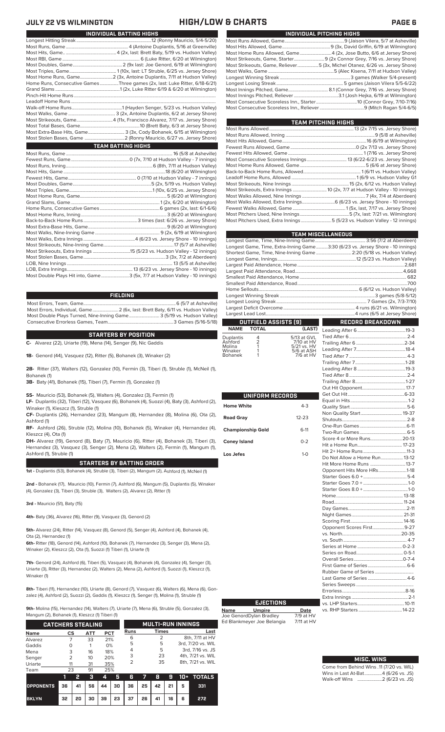### **JULY 22 VS WILMINGTON HIGH/LOW & CHARTS PAGE 6**

| INDIVIDUAL PITCHING HIGHS                                                   |
|-----------------------------------------------------------------------------|
|                                                                             |
|                                                                             |
| Most Home Runs Allowed, Game4 (2x, Jose Butto, 6/6 at Jersey Shore)         |
| Most Strikeouts, Game, Starter 9 (2x Connor Grey, 7/16 vs. Jersey Shore)    |
| Most Strikeouts, Game, Reliever5 (3x, Michel Otanez, 6/26 vs. Jersey Shore) |
|                                                                             |
|                                                                             |
|                                                                             |
| Most Innings Pitched, Game 8.1 (Connor Grey, 7/16 vs. Jersey Shore)         |
|                                                                             |
|                                                                             |
|                                                                             |
|                                                                             |

| TEAM PITCHING HIGHS                                                        |  |
|----------------------------------------------------------------------------|--|
|                                                                            |  |
|                                                                            |  |
|                                                                            |  |
|                                                                            |  |
|                                                                            |  |
|                                                                            |  |
|                                                                            |  |
|                                                                            |  |
|                                                                            |  |
|                                                                            |  |
| Most Strikeouts, Extra Innings  10 (2x, 7/7 at Hudson Valley - 10 innings) |  |
|                                                                            |  |
|                                                                            |  |
|                                                                            |  |
|                                                                            |  |
| Most Pitchers Used, Extra Innings 5 (5/23 vs. Hudson Valley - 12 innings)  |  |
|                                                                            |  |

|             |                      |             | <b>TEAM MISCELLANEOUS</b>                                                      |                     |  |  |
|-------------|----------------------|-------------|--------------------------------------------------------------------------------|---------------------|--|--|
|             |                      |             |                                                                                |                     |  |  |
|             |                      |             | Longest Game, Time, Extra-Inning Game3:30 (6/23 vs. Jersey Shore - 10 innings) |                     |  |  |
|             |                      |             | Shortest Game, Time, Nine-Inning Game  2:20 (5/18 vs. Hudson Valley)           |                     |  |  |
|             |                      |             |                                                                                |                     |  |  |
|             |                      |             |                                                                                |                     |  |  |
|             |                      |             |                                                                                |                     |  |  |
|             |                      |             |                                                                                |                     |  |  |
|             |                      |             |                                                                                |                     |  |  |
|             |                      |             |                                                                                |                     |  |  |
|             |                      |             |                                                                                |                     |  |  |
|             |                      |             |                                                                                |                     |  |  |
|             |                      |             |                                                                                |                     |  |  |
|             |                      |             |                                                                                |                     |  |  |
|             | OUTFIELD ASSISTS [9] |             | <b>RECORD BREAKDOWN</b>                                                        |                     |  |  |
| <b>NAME</b> | <b>TOTAL</b>         | (LAST)      |                                                                                |                     |  |  |
| Duplantis   | 4                    | 5/13 at GVL |                                                                                |                     |  |  |
| Ashford     | $\frac{2}{1}$        | 7/10 at HV  |                                                                                |                     |  |  |
| Molina      |                      | 5/21 vs. HV |                                                                                | $\Lambda$ $\Lambda$ |  |  |

| UNIFORM RECORDS          |           |  |
|--------------------------|-----------|--|
| <b>Home White</b>        | $4 - 3$   |  |
| <b>Road Gray</b>         | $12 - 23$ |  |
| <b>Championship Gold</b> | $6-11$    |  |
| <b>Coney Island</b>      | $0 - 2$   |  |
| Los Jefes                | $1 - 0$   |  |
|                          |           |  |
|                          |           |  |
|                          |           |  |
|                          |           |  |
|                          |           |  |
|                          |           |  |
|                          |           |  |
|                          |           |  |

**Name Umpire Date** Joe GenordDylan Bradley 7/9 at HV Ed Blankmeyer Joe Belangia 7/11 at HV

**EJECTIONS**

### Leading After 7..........................................18-4 Winaker 1 5/6 at ASH Bohanek 1 7/6 at HV Tied After 7 Trailing After 7...........................................1-28 Leading After 8 .........................................19-3 Tied After 8.................................................2-4 Trailing After 8...........................................1-27 Out Hit Opponent. Get Out Hit................................................6-33 Equal in Hits.................................................1-2 Quality Start... Non Quality Start................................... 19-37 Shutouts... One-Run Games ........................................6-11 Two-Run Games ........................................6-5 Score 4 or More Runs... Hit a Home Run...................................... 17-23 Hit 2+ Home Runs. Do Not Allow a Home Run...................13-12 Hit More Home Runs ..............................13-7 Opponent Hits More HRs. Starter Goes 6.0 +.....................................5-4 Starter Goes 7.0 + ......................................1-0 Starter Goes 8.0 + ......................................1-0 Home.........................................................13-18 Road... Day Games..................................................2-11 Night Games. Scoring First.............................................14-16 Opponent Scores First...........................9-27  $vs.$  North..... vs. South ...................................................... 4-7 Series at Home ... Series on Road........................................0-5-1 Overall Series..........................................0-7-4 First Game of Series Rubber Game of Series ................................. Last Game of Series ... Series Sweeps .................................................

### **MISC. WINS**

Errorless..

vs. RHP Starters ....

| Come from Behind Wins .11 (7/20 vs. WIL) |  |
|------------------------------------------|--|
| Wins in Last At-Bat4 (6/26 vs. JS)       |  |
| Walk-off Wins 2 (6/23 vs. JS)            |  |

Extra Innings ................................................2-1 vs. LHP Starters........................................10-11

| INDIVIDUAL BATTING HIGHS                                                    |
|-----------------------------------------------------------------------------|
|                                                                             |
|                                                                             |
|                                                                             |
|                                                                             |
|                                                                             |
|                                                                             |
|                                                                             |
| Home Runs, Consecutive Games Three games (2x, last: Luke Ritter, 6/18-6/21) |
|                                                                             |
|                                                                             |
|                                                                             |
|                                                                             |
|                                                                             |
|                                                                             |
|                                                                             |
| Most Extra-Base Hits, Game 3 (3x, Cody Bohanek, 6/15 at Wilmington)         |
|                                                                             |
| <b>TEAM BATTING HIGHS</b>                                                   |
|                                                                             |
|                                                                             |
|                                                                             |
|                                                                             |
|                                                                             |
|                                                                             |
|                                                                             |
|                                                                             |
|                                                                             |
|                                                                             |
|                                                                             |
|                                                                             |
|                                                                             |
|                                                                             |
|                                                                             |
|                                                                             |
|                                                                             |
|                                                                             |
|                                                                             |
|                                                                             |
| Most Double Plays Hit into, Game3 (5x, 7/7 at Hudson Valley - 10 innings)   |

### **FIELDING**

Most Errors, Team, Game...............................................................................6 (5/7 at Asheville) Most Errors, Individual, Game......................2 (6x, last: Brett Baty, 6/11 vs. Hudson Valley) Most Double Plays Turned, Nine-Inning Game.......................... 3 (5/19 vs. Hudson Valley) Consecutive Errorless Games, Team...

### **STARTERS BY POSITION**

**C-** Alvarez (22), Uriarte (19), Mena (14), Senger (9), Nic Gaddis

**1B-** Genord (44), Vasquez (12), Ritter (5), Bohanek (3), Winaker (2)

**2B-** Ritter (37), Walters (12), Gonzalez (10), Fermin (3), Tiberi (1), Struble (1), McNeil (1), Bohanek (1)

**3B-** Baty (41), Bohanek (15), Tiberi (7), Fermin (1), Gonzalez (1)

**SS-** Mauricio (53), Bohanek (5), Walters (4), Gonzalez (3), Fermin (1)

**LF-** Duplantis (32), Tiberi (12), Vasquez (6), Bohanek (4), Suozzi (4), Baty (3), Ashford (2), Winaker (1), Kleszcz (1), Struble (1)

**CF-** Duplantis (26), Hernandez (23), Mangum (8), Hernandez (8), Molina (6), Ota (2), Ashford (1)

**RF-** Ashford (26), Struble (12), Molina (10), Bohanek (5), Winaker (4), Hernandez (4), Kleszcz (4), Ota (1)

**DH-** Alvarez (19), Genord (8), Baty (7), Mauricio (6), Ritter (4), Bohanek (3), Tiberi (3), Hernandez (3), Vasquez (3), Senger (2), Mena (2), Walters (2), Fermin (1), Mangum (1), Ashford (1), Struble (1)

### **STARTERS BY BATTING ORDER**

**1st -** Duplantis (53), Bohanek (4), Struble (3), Tiberi (2), Mangum (2), Ashford (1), McNeil (1)

**2nd -** Bohanek (17), Mauricio (10), Fermin (7), Ashford (6), Mangum (5), Duplantis (5), Winaker (4), Gonzalez (3), Tiberi (3), Struble (3), Walters (2), Alvarez (2), Ritter (1)

**3rd -** Mauricio (51), Baty (15)

**4th-** Baty (36), Alvarez (16), Ritter (9), Vasquez (3), Genord (2)

**5th-** Alvarez (24), Ritter (14), Vasquez (8), Genord (5), Senger (4), Ashford (4), Bohanek (4), Ota (2), Hernandez (1)

**6th-** Ritter (18), Genord (14), Ashford (10), Bohanek (7), Hernandez (3), Senger (3), Mena (2), Winaker (2), Kleszcz (2), Ota (1), Suozzi (1) Tiberi (1), Uriarte (1)

**7th-** Genord (24), Ashford (6), Tiberi (5), Vasquez (4), Bohanek (4), Gonzalez (4), Senger (3), Uriarte (3), Ritter (3), Hernandez (2), Walters (2), Mena (2), Ashford (1), Suozzi (1), Kleszcz (1), Winaker (1)

**8th-** Tiberi (11), Hernandez (10), Uriarte (8), Genord (7), Vasquez (6), Walters (6), Mena (6), Gonzalez (4), Ashford (2), Suozzi (2), Gaddis (1), Kleszcz (1), Senger (1), Molina (1), Struble (1)

**9th-** Molina (15), Hernandez (14), Walters (7), Uriarte (7), Mena (6), Struble (5), Gonzalez (3),

| <b>CATCHERS STEALING</b> |    |    |            |            | <b>MULTI-RUN INNINGS</b> |      |    |              |    |     |                   |  |                  |
|--------------------------|----|----|------------|------------|--------------------------|------|----|--------------|----|-----|-------------------|--|------------------|
| <b>Name</b>              | CS |    | <b>ATT</b> | <b>PCT</b> |                          | Runs |    | <b>Times</b> |    |     | Last              |  |                  |
| Alvarez                  |    |    | 33         | 21%        |                          | 6    |    | 2            |    |     | 8th, 7/11 at HV   |  |                  |
| Gaddis                   | Ω  |    |            | 0%         |                          | 5    |    | 5            |    |     | 3rd, 7/20 vs. WIL |  |                  |
| Mena                     | 3  |    | 16         |            |                          | 18%  |    | 4            |    | 5   |                   |  | 3rd, 7/16 vs. JS |
| Senger                   | フ  |    | 10         | 20%        |                          | 3    |    | 23           |    |     | 4th, 7/21 vs. WIL |  |                  |
| Uriarte                  | 11 |    | 31         | 35%        |                          | 2    |    | 35           |    |     | 8th, 7/21 vs. WIL |  |                  |
| Team                     | 23 |    | 91         | 25%        |                          |      |    |              |    |     |                   |  |                  |
|                          | 1  | 2  | з          | 4          | 5                        | 6    |    | 8            | 9  | 10+ | <b>TOTALS</b>     |  |                  |
| <b>OPPONENTS</b>         | 36 | 41 | 56         | 44         | 30                       | 36   | 25 | 42           | 21 | 5   | 331               |  |                  |

**BKLYN 32 20 30 39 23 37 26 41 16 6 272**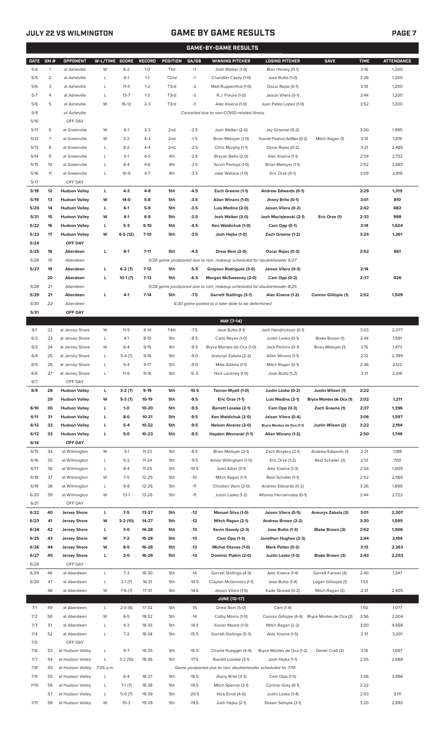## **JULY 22 VS WILMINGTON GAME BY GAME RESULTS**

|--|--|--|

|             | <b>GAME-BY-GAME RESULTS</b> |                      |                |           |               |                   |         |                                                                                     |                               |                         |             |                   |
|-------------|-----------------------------|----------------------|----------------|-----------|---------------|-------------------|---------|-------------------------------------------------------------------------------------|-------------------------------|-------------------------|-------------|-------------------|
| <b>DATE</b> | GM#                         | <b>OPPONENT</b>      | W-L/TIME SCORE |           | <b>RECORD</b> | <b>POSITION</b>   | GA/GB   | <b>WINNING PITCHER</b>                                                              | <b>LOSING PITCHER</b>         | <b>SAVE</b>             | <b>TIME</b> | <b>ATTENDANCE</b> |
| 5/4         | $\mathbf{1}$                | at Asheville         | W              | $8 - 2$   | $1-0$         | T <sub>1st</sub>  | $+1$    | Josh Walker (1-0)                                                                   | Blair Henley (0-1)            |                         | 3:16        | 1,200             |
| 5/5         | $\overline{2}$              | at Asheville         | L              | $6-1$     | $1 - 1$       | T <sub>2</sub> nd | $-1$    | Chandler Casey (1-0)                                                                | Jose Butto (1-0)              |                         | 3:26        | 1,200             |
| 5/6         | 3                           | at Asheville         | L              | $11 - 4$  | $1 - 2$       | T3rd              | $-2$    | Matt Ruppenthal (1-0)                                                               | Oscar Rojas (0-1)             |                         | 3:10        | 1,200             |
| 5/7         | $\overline{4}$              | at Asheville         | L              | $13 - 7$  | $1 - 3$       | T3rd              | $-3$    | R.J. Freure (1-0)                                                                   | Jaison Vilera (0-1)           |                         | 3:44        | 1,200             |
| 5/8         | 5                           | at Asheville         | W              | $16-12$   | $2 - 3$       | T3rd              | $-3$    | Alec Kisena (1-0)                                                                   | Juan Pablo Lopez (1-0)        |                         | 3:52        | 1,200             |
| 5/9         |                             | at Asheville         |                |           |               |                   |         | Cancelled due to non-COVID-related illness                                          |                               |                         |             |                   |
| 5/10        |                             | OFF DAY              |                |           |               |                   |         |                                                                                     |                               |                         |             |                   |
| 5/11        | 6                           | at Greenville        | W              | $6-1$     | $3-3$         | 2 <sub>nd</sub>   | $-2.5$  | Josh Walker (2-0)                                                                   | Jay Groome (0-2)              |                         | 3:00        | 1,995             |
| 5/12        | $\overline{7}$              | at Greenville        | W              | $3-2$     | $4 - 3$       | 2 <sub>nd</sub>   | $-1.5$  | Brian Metoyer (1-0)                                                                 | Yusniel Padron-Artilles (0-2) | Mitch Ragan (1)         | 3:14        | 1,819             |
| 5/13        | 8                           | at Greenville        | L              | $8 - 2$   | $4 - 4$       | 2 <sub>nd</sub>   | $-2.5$  |                                                                                     |                               |                         | 3:21        | 2,485             |
|             |                             |                      |                |           |               |                   |         | Chris Murphy (1-1)                                                                  | Oscar Rojas (0-2)             |                         |             |                   |
| 5/14        | 9                           | at Greenville        | L              | $5-1$     | $4 - 5$       | 4th               | $-2.5$  | Brayan Bello (2-0)                                                                  | Alec Kisena (1-1)             |                         | 2:54        | 2,732             |
| 5/15        | 10                          | at Greenville        | L              | $8 - 4$   | $4-6$         | 4th               | $-3.5$  | Yorvin Pantoja (1-0)                                                                | Brian Metoyer (1-1)           |                         | 2:52        | 2,883             |
| 5/16        | 11                          | at Greenville        | L              | $10-9$    | $4 - 7$       | 4th               | $-3.5$  | Jake Wallace (1-0)                                                                  | Eric Orze (0-1)               |                         | 3:09        | 2,818             |
| 5/17        |                             | OFF DAY              |                |           |               |                   |         |                                                                                     |                               |                         |             |                   |
| 5/18        | 12                          | <b>Hudson Valley</b> | L              | $4 - 3$   | $4 - 8$       | 5th               | -4.5    | Zach Greene (1-1)                                                                   | Andrew Edwards (0-1)          |                         | 2:29        | 1,315             |
| 5/19        | 13                          | <b>Hudson Valley</b> | W              | 14-0      | $5-8$         | 5th               | $-3.5$  | Allan Winans (1-0)                                                                  | Jhony Brito (0-1)             |                         | 3:01        | 810               |
| 5/20        | 14                          | <b>Hudson Valley</b> | L              | $6-1$     | 5-9           | 5th               | $-3.5$  | Luis Medina (2-0)                                                                   | Jaison Vilera (0-2)           |                         | 2:42        | 682               |
| 5/21        | 15                          | <b>Hudson Valley</b> | W              | 4-1       | $6-9$         | 5th               | $-3.5$  | Josh Walker (3-0)                                                                   | Josh Maciejewski (2-1)        | Eric Orze (1)           | 2:33        | 998               |
| 5/22        | 16                          | <b>Hudson Valley</b> | L              | $5-3$     | $6-10$        | 5th               | $-4.5$  | Ken Waldichuk (1-0)                                                                 | Cam Opp (0-1)                 |                         | 3:14        | 1,624             |
| 5/23        | 17                          | <b>Hudson Valley</b> | W              | $6-5(12)$ | $7 - 10$      | 5th               | $-3.5$  | Josh Hejka (1-0)                                                                    | Zach Greene (1-2)             |                         | 3:24        | 1,261             |
| 5/24        |                             | OFF DAY              |                |           |               |                   |         |                                                                                     |                               |                         |             |                   |
| 5/25        | 18                          | Aberdeen             | г              | $8-1$     | $7 - 11$      | 5th               | $-4.5$  | Drew Rom (2-0)                                                                      | Oscar Rojas (0-3)             |                         | 2:52        | 861               |
| 5/26        | 19                          | Aberdeen             |                |           |               |                   |         | 5/26 game postponed due to rain, makeup scheduled for doubleheader 5/27             |                               |                         |             |                   |
| 5/27        | 19                          | Aberdeen             | г              | $6-2(7)$  | $7-12$        | 5th               | $-5.5$  | Grayson Rodriguez (3-0)                                                             | Jaison Vilera (0-3)           |                         | 2:14        |                   |
|             | 20                          | Aberdeen             | г              | $10-1(7)$ | $7-13$        | 5th               | $-6.5$  | Morgan McSweeney (2-0)                                                              | Cam Opp (0-2)                 |                         | 2:37        | 926               |
| 5/28        | 21                          | Aberdeen             |                |           |               |                   |         | 5/28 game postponed due to rain, makeup scheduled for doubleheader 8/25             |                               |                         |             |                   |
| 5/29        | 21                          | Aberdeen             | г              | $4-1$     | $7-14$        | 5th               | $-7.5$  | <b>Garrett Stallings (3-1)</b>                                                      | Alec Kisena (1-2)             | Connor Gillispie (1)    | 2:52        | 1,509             |
| 5/30        | 22                          | Aberdeen             |                |           |               |                   |         | 5/30 game posted to a later date to be determined                                   |                               |                         |             |                   |
| 5/31        |                             | OFF DAY              |                |           |               |                   |         |                                                                                     |                               |                         |             |                   |
|             |                             |                      |                |           |               |                   |         | MAY [7-14]                                                                          |                               |                         |             |                   |
| 6/1         | 22                          | at Jersey Shore      | W              | $11 - 5$  | $8-14$        | T4th              | $-7.5$  | Jose Butto (1-1)                                                                    | Josh Hendrickson (0-1)        |                         | 3:03        | 2,077             |
| 6/2         | 23                          | at Jersey Shore      | L              | $4-1$     | $8-15$        | 5th               | $-8.5$  | Carlo Reyes (1-0)                                                                   | Justin Lasko (0-1)            | Blake Brown (1)         | 2:44        | 1,591             |
| 6/3         | 24                          | at Jersey Shore      | W              | $6 - 4$   | $9 - 15$      | 4th               | $-8.5$  | Bryce Montes de Oca (1-0)                                                           | Jack Perkins (0-1)            | Brian Metoyer (1)       | 3:15        | 1,473             |
| 6/4         | 25                          | at Jersey Shore      | L              | $5-4(7)$  | $9-16$        | 5th               | $-9.0$  | Aneurys Zabala (2-2)                                                                | Allan Winans (1-1)            |                         | 2:12        | 2,399             |
| 6/5         | 26                          | at Jersey Shore      | L              | $5 - 4$   | $9 - 17$      | 5th               | $-9.0$  | Mike Adams (1-1)                                                                    | Mitch Ragan (0-1)             |                         | 2:36        | 2,122             |
| 6/6         | 27                          | at Jersey Shore      | L              | $11-6$    | $9-18$        | 5th               | $-9.5$  | Nick Lackney (1-0)                                                                  | Jose Butto (1-2)              |                         | 3:31        | 2,041             |
| 6/7         |                             | OFF DAY              |                |           |               |                   |         |                                                                                     |                               |                         |             |                   |
| 6/9         | 28                          | <b>Hudson Valley</b> | L              | $3-2(7)$  | $9-19$        | 5th               | $-10.5$ | Tanner Myatt (1-0)                                                                  | Justin Lasko (0-2)            | Justin Wilson (1)       | 2:22        |                   |
|             | 29                          | <b>Hudson Valley</b> | W              | $5-3(7)$  | 10-19         | 5th               | $-9.5$  | Eric Orze (1-1)                                                                     | Luis Medina (2-1)             | Bryce Montes de Oca (1) | 2:02        | 1,211             |
| 6/10        | 30                          | <b>Hudson Valley</b> | г              | $1 - 0$   | 10-20         | 5th               | $-9.5$  | <b>Barrett Loseke (2-1)</b>                                                         | Cam Opp (0-3)                 | Zach Greene (1)         | 2:37        | 1,396             |
| 6/11        | 31                          | <b>Hudson Valley</b> | г              | $8-0$     | $10 - 21$     | 5th               | $-9.5$  | Ken Waldichuk (2-0)                                                                 | Jaison Vilera (0-4)           |                         | 3:06        | 1,597             |
| 6/12        | 32                          | <b>Hudson Valley</b> | г              | $5-4$     | 10-22         | 5th               | $-9.5$  | <b>Nelson Alvarez (2-0)</b>                                                         | Bryce Montes de Oca (1-1)     | Justin Wilson (2)       | 3:22        | 2,194             |
| 6/13        | 33                          | <b>Hudson Valley</b> | г              | 5-0       | $10 - 23$     | 5th               | $-9.5$  | Hayden Wesneski (1-1)                                                               | Allan Winans (1-2)            |                         | 2:50        | 1,749             |
| 6/14        |                             | OFF DAY              |                |           |               |                   |         |                                                                                     |                               |                         |             |                   |
|             | 34                          |                      |                |           |               |                   |         |                                                                                     |                               |                         |             |                   |
| 6/15        |                             | at Wilmington        | W              | $3-1$     | $11 - 23$     | 5th               | $-8.5$  | Brian Metoyer (2-1)                                                                 | Zach Brzykcy (2-1)            | Andrew Edwards (1)      | 2:21        | 1,188             |
| 6/16        | 35                          | at Wilmington        | L              | $5 - 2$   | $11 - 24$     | 5th               | $-9.5$  | Amos Willingham (1-0)                                                               | Eric Orze (1-2)               | Reid Schaller (3)       | 2:51        | 700               |
| 6/17        | 36                          | at Wilmington        | L              | $8 - 4$   | $11 - 25$     | 5th               | $-10.5$ | Joan Adon (3-1)                                                                     | Alec Kisena (1-3)             |                         | 2:54        | 1,009             |
| 6/18        | 37                          | at Wilmington        | W              | $7 - 5$   | $12 - 25$     | 5th               | $-10$   | Mitch Ragan (1-1)                                                                   | Reid Schaller (1-1)           |                         | 2:52        | 2,565             |
| 6/19        | 38                          | at Wilmington        | L              | $9 - 8$   | 12-26         | 5th               | $-11$   | Christian Vann (2-0)                                                                | Andrew Edwards (0-2)          |                         | 3:26        | 1,899             |
| 6/20        | 39                          | at Wilmington        | W              | $13-1$    | $13 - 26$     | 5th               | $-11$   | Justin Lasko (1-2)                                                                  | Alfonso Hernanndez (0-1)      |                         | 2:44        | 2,722             |
| 6/21        |                             | OFF DAY              |                |           |               |                   |         |                                                                                     |                               |                         |             |                   |
| 6/22        | 40                          | <b>Jersey Shore</b>  | L              | $7-5$     | 13-27         | 5th               | $-12$   | <b>Manuel Silva (1-0)</b>                                                           | Jaison Vilera (0-5)           | Aneurys Zabala (3)      | 3:01        | 2,307             |
| 6/23        | 41                          | <b>Jersey Shore</b>  | W              | 3-2 (10)  | 14-27         | 5th               | $-12$   | Mitch Ragan (2-1)                                                                   | Andrew Brown (2-2)            |                         | 3:30        | 1,595             |
| 6/24        | 42                          | <b>Jersey Shore</b>  | L              | $3-0$     | 14-28         | 5th               | $-13$   | Kevin Gowdy (2-3)                                                                   | Jose Butto (1-3)              | Blake Brown (2)         | 2:52        | 1,906             |
| 6/25        | 43                          | <b>Jersey Shore</b>  | W              | $7 - 2$   | 15-28         | 5th               | $-13$   | Cam Opp (1-3)                                                                       | Jonathan Hughes (2-3)         |                         | 2:44        | 2,194             |
| 6/26        | 44                          | <b>Jersey Shore</b>  | W              | $8-5$     | 16-28         | 5th               | $-13$   | Michel Otanez (1-0)                                                                 | Mark Potter (0-2)             |                         | 3:13        | 2,363             |
| 6/27        | 45                          | <b>Jersey Shore</b>  | г              | $3-0$     | 16-29         | 5th               | $-13$   | Dominic Pipkin (2-0)                                                                | Justin Lasko (1-3)            | Blake Brown (3)         | 2:43        | 2,253             |
| 6/28        |                             | OFF DAY              |                |           |               |                   |         |                                                                                     |                               |                         |             |                   |
| 6/29        | 46                          | at Aberdeen          | L              | $7 - 3$   | 16-30         | 5th               | $-14$   | Garrett Stallings (4-3)                                                             | Alec Kisena (1-4)             | Garrett Farmer (4)      | 2:40        | 1,347             |
| 6/30        | 47                          | at Aberdeen          | L              | $2-1(7)$  | 16-31         | 5th               | $-14.5$ | Clayton McGinness (1-1)                                                             | Jose Butto (1-4)              | Logan Gillaspie (1)     | 1:53        |                   |
|             | 48                          | at Aberdeen          | W              | $7-6(7)$  | 17-31         | 5th               | $-14.5$ | Jaison Vilera (1-5)                                                                 | Kade Strowd (0-2)             | Mitch Ragan (2)         | 2:31        | 2,405             |
|             |                             |                      |                |           |               |                   |         | <b>JUNE [10-17]</b>                                                                 |                               |                         |             |                   |
| 7/1         | 49                          | at Aberdeen          | L              | $2-0(6)$  | 17-32         | 5th               | $-15$   | Drew Rom (5-0)                                                                      | Cam (1-4)                     |                         | 1:50        | 1,077             |
| 7/2         | 50                          | at Aberdeen          | W              | $6 - 5$   | 18-32         | 5th               | $-14$   | Colby Morris (1-0)                                                                  | Connor Gillispie (4-4)        | Bryce Montes de Oca (2) | 3:56        | 2,004             |
| 7/3         | 51                          | at Aberdeen          | L              | $4 - 3$   | 18-33         | 5th               | $-14.5$ | Xavier Moore (1-0)                                                                  | Mitch Ragan (2-2)             |                         | 3:00        | 4,668             |
| 7/4         | 52                          | at Aberdeen          | L              | $7 - 2$   | 18-34         | 5th               | $-15.5$ | Garrett Stallings (5-3)                                                             | Alec Kisena (1-5)             |                         | 2:31        | 3,001             |
| 7/5         |                             | OFF DAY              |                |           |               |                   |         |                                                                                     |                               |                         |             |                   |
| 7/6         | 53                          | at Hudson Valley     | L              | $9 - 7$   | 18-35         | 5th               | $-16.5$ |                                                                                     |                               |                         | 3:15        | 1,687             |
|             |                             |                      |                |           |               | 5th               | $-17.5$ | Charlie Ruegger (4-4)                                                               | Bryce Montes de Oca (1-2)     | Derek Craft (2)         |             |                   |
| 7/7<br>7/8  | 54                          | at Hudson Valley     | L              | $3-2(10)$ | 18-36         |                   |         | Barrett Loseke (3-1)<br>Game postponed due to rain, doubleheader scheduled for 7/10 | Josh Hejka (1-1)              |                         | 2:55        | 2,688             |
|             | 55                          | at Hudson Valley     | 7:05 p.m.      |           |               |                   |         |                                                                                     |                               |                         |             |                   |
| 7/9         | 55                          | at Hudson Valley     | L              | $6 - 4$   | 18-37         | 5th               | $-18.5$ | Jhony Brito (3-3)                                                                   | Cam Opp (1-5)                 |                         | 3:06        | 3,896             |
| 7/10        | 56                          | at Hudson Valley     | L              | $7-1(7)$  | 18-38         | 5th               | $-19.5$ | Mitch Spence (3-1)                                                                  | Connor Grey (0-1)             |                         | 2:22        |                   |
|             | 57                          | at Hudson Valley     | L              | $5-0(7)$  | 18-39         | 5th               | $-20.5$ | Nick Ernst (4-0)                                                                    | Justin Lasko (1-4)            |                         | 2:03        | 3,111             |
| 7/11        |                             | 58 at Hudson Valley  | W              | $10-3$    | 19-39         | 5th               | $-19.5$ | Josh Hejka (2-1)                                                                    | Shawn Semple (3-1)            |                         | 3:20        | 2,892             |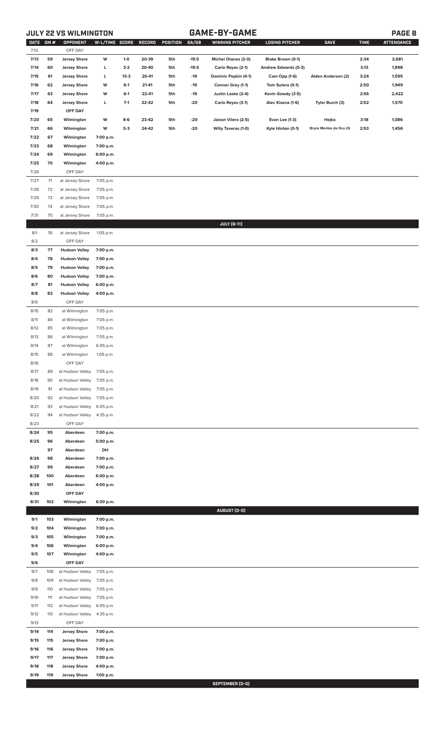# **JULY 22 VS WILMINGTON GAME-BY-GAME PAGE 8**

| <b>DATE</b>  | GM#        | OPPONENT                                     | W-L/TIME SCORE         |                | RECORD         | <b>POSITION</b> | GA/GB   | <b>WINNING PITCHER</b>                     | <b>LOSING PITCHER</b>               | <b>SAVE</b>                      | <b>TIME</b>  | <b>ATTENDANCE</b> |
|--------------|------------|----------------------------------------------|------------------------|----------------|----------------|-----------------|---------|--------------------------------------------|-------------------------------------|----------------------------------|--------------|-------------------|
| 7/12         |            | OFF DAY                                      |                        |                |                |                 |         |                                            |                                     |                                  |              |                   |
| 7/13         | 59         | <b>Jersey Shore</b>                          | W                      | $1-0$          | 20-39          | 5th             | $-19.5$ | <b>Michel Otanez (2-0)</b>                 | Blake Brown (0-1)                   |                                  | 2:34         | 2,681             |
| 7/14         | 60         | <b>Jersey Shore</b>                          | L                      | $3-2$          | 20-40          | 5th             | $-19.5$ | Carlo Reyes (2-1)                          | Andrew Edwards (0-3)                |                                  | 3:13         | 1,898             |
| 7/15         | 61         | <b>Jersey Shore</b>                          | г                      | $13 - 3$       | 20-41          | 5th             | $-19$   | Dominic Popkin (4-1)                       | Cam Opp (1-6)                       | Aiden Anderson (2)               | 3:24         | 1,595             |
| 7/16         | 62         | <b>Jersey Shore</b>                          | W                      | $6-1$          | 21-41          | 5th             | $-19$   | Connor Grey (1-1)                          | Tom Sutera (0-1)                    |                                  | 2:50         | 1,949             |
| 7/17         | 63         | <b>Jersey Shore</b>                          | W                      | $6-1$          | 22-41          | 5th             | -19     | Justin Lasko (2-4)                         | Kevin Gowdy (3-5)                   |                                  | 2:56         | 2,422             |
| 7/18         | 64         | <b>Jersey Shore</b><br>OFF DAY               | L                      | $7-1$          | 22-42          | 5th             | $-20$   | Carlo Reyes (3-1)                          | Alec Kisena (1-6)                   | Tyler Burch (3)                  | 2:52         | 1,570             |
| 7/19         | 65         |                                              | W                      |                |                |                 | $-20$   |                                            |                                     |                                  |              | 1,086             |
| 7/20<br>7/21 | 66         | Wilmington<br>Wilmington                     | W                      | $8-6$<br>$5-3$ | 23-42<br>24-42 | 5th<br>5th      | $-20$   | Jaison Vilera (2-5)<br>Willy Taveras (1-0) | Evan Lee (1-3)<br>Kyle Hinton (0-1) | Hejka<br>Bryce Montes de Oca (3) | 3:18<br>2:53 | 1,456             |
| 7/22         | 67         | Wilmington                                   | 7:00 p.m.              |                |                |                 |         |                                            |                                     |                                  |              |                   |
| 7/23         | 68         | Wilmington                                   | 7:00 p.m.              |                |                |                 |         |                                            |                                     |                                  |              |                   |
| 7/24         | 69         | Wilmington                                   | 6:00 p.m.              |                |                |                 |         |                                            |                                     |                                  |              |                   |
| 7/25         | 70         | Wilmington                                   | 4:00 p.m.              |                |                |                 |         |                                            |                                     |                                  |              |                   |
| 7/26         |            | OFF DAY                                      |                        |                |                |                 |         |                                            |                                     |                                  |              |                   |
| 7/27         | 71         | at Jersey Shore                              | 7:05 p.m.              |                |                |                 |         |                                            |                                     |                                  |              |                   |
| 7/28         | 72         | at Jersey Shore                              | 7:05 p.m.              |                |                |                 |         |                                            |                                     |                                  |              |                   |
| 7/29         | 73         | at Jersey Shore                              | 7:05 p.m.              |                |                |                 |         |                                            |                                     |                                  |              |                   |
| 7/30         | 74         | at Jersey Shore                              | 7:05 p.m.              |                |                |                 |         |                                            |                                     |                                  |              |                   |
| 7/31         | 75         | at Jersey Shore                              | 7:05 p.m.              |                |                |                 |         |                                            |                                     |                                  |              |                   |
|              |            |                                              |                        |                |                |                 |         | <b>JULY [6-11]</b>                         |                                     |                                  |              |                   |
| 8/1          | 76         | at Jersey Shore                              | 1:05 p.m.              |                |                |                 |         |                                            |                                     |                                  |              |                   |
| 8/2          |            | OFF DAY                                      |                        |                |                |                 |         |                                            |                                     |                                  |              |                   |
| 8/3<br>8/4   | 77<br>78   | <b>Hudson Valley</b><br><b>Hudson Valley</b> | 7:00 p.m.<br>7:00 p.m. |                |                |                 |         |                                            |                                     |                                  |              |                   |
| 8/5          | 79         | <b>Hudson Valley</b>                         | 7:00 p.m.              |                |                |                 |         |                                            |                                     |                                  |              |                   |
| 8/6          | 80         | <b>Hudson Valley</b>                         | 7:00 p.m.              |                |                |                 |         |                                            |                                     |                                  |              |                   |
| 8/7          | 81         | <b>Hudson Valley</b>                         | 6:00 p.m.              |                |                |                 |         |                                            |                                     |                                  |              |                   |
| 8/8          | 82         | <b>Hudson Valley</b>                         | 4:00 p.m.              |                |                |                 |         |                                            |                                     |                                  |              |                   |
| 8/9          |            | OFF DAY                                      |                        |                |                |                 |         |                                            |                                     |                                  |              |                   |
| 8/10         | 83         | at Wilmington                                | 7:05 p.m.              |                |                |                 |         |                                            |                                     |                                  |              |                   |
| 8/11         | 84         | at Wilmington                                | 7:05 p.m.              |                |                |                 |         |                                            |                                     |                                  |              |                   |
| 8/12         | 85         | at Wilmington                                | 7:05 p.m.              |                |                |                 |         |                                            |                                     |                                  |              |                   |
| 8/13         | 86         | at Wilmington                                | 7:05 p.m.              |                |                |                 |         |                                            |                                     |                                  |              |                   |
| 8/14         | 87         | at Wilmington                                | 6:05 p.m.              |                |                |                 |         |                                            |                                     |                                  |              |                   |
| 8/15<br>8/16 | 88         | at Wilmington<br>OFF DAY                     | 1:05 p.m.              |                |                |                 |         |                                            |                                     |                                  |              |                   |
| 8/17         | 89         | at Hudson Valley 7:05 p.m.                   |                        |                |                |                 |         |                                            |                                     |                                  |              |                   |
| 8/18         | 90         | at Hudson Valley                             | 7:05 p.m.              |                |                |                 |         |                                            |                                     |                                  |              |                   |
| 8/19         | 91         | at Hudson Valley                             | 7:05 p.m.              |                |                |                 |         |                                            |                                     |                                  |              |                   |
| 8/20         | 92         | at Hudson Valley                             | 7:05 p.m.              |                |                |                 |         |                                            |                                     |                                  |              |                   |
| 8/21         | 93         | at Hudson Valley                             | 6:05 p.m.              |                |                |                 |         |                                            |                                     |                                  |              |                   |
| 8/22         | 94         | at Hudson Valley                             | 4:35 p.m.              |                |                |                 |         |                                            |                                     |                                  |              |                   |
| 8/23         |            | OFF DAY                                      |                        |                |                |                 |         |                                            |                                     |                                  |              |                   |
| 8/24         | 95         | Aberdeen                                     | 7:00 p.m.              |                |                |                 |         |                                            |                                     |                                  |              |                   |
| 8/25         | 96<br>97   | Aberdeen<br>Aberdeen                         | 5:00 p.m.<br>DH        |                |                |                 |         |                                            |                                     |                                  |              |                   |
| 8/26         | 98         | Aberdeen                                     | 7:00 p.m.              |                |                |                 |         |                                            |                                     |                                  |              |                   |
| 8/27         | 99         | Aberdeen                                     | 7:00 p.m.              |                |                |                 |         |                                            |                                     |                                  |              |                   |
| 8/28         | 100        | Aberdeen                                     | 6:00 p.m.              |                |                |                 |         |                                            |                                     |                                  |              |                   |
| 8/29         | 101        | Aberdeen                                     | 4:00 p.m.              |                |                |                 |         |                                            |                                     |                                  |              |                   |
| 8/30         |            | OFF DAY                                      |                        |                |                |                 |         |                                            |                                     |                                  |              |                   |
| 8/31         | 102        | Wilmington                                   | 6:30 p.m.              |                |                |                 |         |                                            |                                     |                                  |              |                   |
|              |            |                                              |                        |                |                |                 |         | AUGUST (0-0)                               |                                     |                                  |              |                   |
| 9/1          | 103        | Wilmington                                   | 7:00 p.m.              |                |                |                 |         |                                            |                                     |                                  |              |                   |
| 9/2          | 104<br>105 | Wilmington                                   | 7:00 p.m.              |                |                |                 |         |                                            |                                     |                                  |              |                   |
| 9/3<br>9/4   | 106        | Wilmington<br>Wilmington                     | 7:00 p.m.<br>6:00 p.m. |                |                |                 |         |                                            |                                     |                                  |              |                   |
| 9/5          | 107        | Wilmington                                   | 4:00 p.m.              |                |                |                 |         |                                            |                                     |                                  |              |                   |
| 9/6          |            | OFF DAY                                      |                        |                |                |                 |         |                                            |                                     |                                  |              |                   |
| 9/7          | 108        | at Hudson Valley                             | 7:05 p.m.              |                |                |                 |         |                                            |                                     |                                  |              |                   |
| 9/8          | 109        | at Hudson Valley                             | 7:05 p.m.              |                |                |                 |         |                                            |                                     |                                  |              |                   |
| 9/9          | 110        | at Hudson Valley                             | 7:05 p.m.              |                |                |                 |         |                                            |                                     |                                  |              |                   |
| 9/10         | 111        | at Hudson Valley                             | 7:05 p.m.              |                |                |                 |         |                                            |                                     |                                  |              |                   |
| 9/11         | 112        | at Hudson Valley                             | 6:05 p.m.              |                |                |                 |         |                                            |                                     |                                  |              |                   |
| 9/12         | 113        | at Hudson Valley                             | 4:35 p.m.              |                |                |                 |         |                                            |                                     |                                  |              |                   |
| 9/13<br>9/14 |            | OFF DAY                                      |                        |                |                |                 |         |                                            |                                     |                                  |              |                   |
| 9/15         | 114<br>115 | <b>Jersey Shore</b><br><b>Jersey Shore</b>   | 7:00 p.m.<br>7:00 p.m. |                |                |                 |         |                                            |                                     |                                  |              |                   |
| 9/16         | 116        | <b>Jersey Shore</b>                          | 7:00 p.m.              |                |                |                 |         |                                            |                                     |                                  |              |                   |
| 9/17         | 117        | <b>Jersey Shore</b>                          | 7:00 p.m.              |                |                |                 |         |                                            |                                     |                                  |              |                   |
| 9/18         | 118        | <b>Jersey Shore</b>                          | 4:00 p.m.              |                |                |                 |         |                                            |                                     |                                  |              |                   |
| 9/19         | 119        | <b>Jersey Shore</b>                          | 1:00 p.m.              |                |                |                 |         |                                            |                                     |                                  |              |                   |

**SEPTEMBER (0-0)**